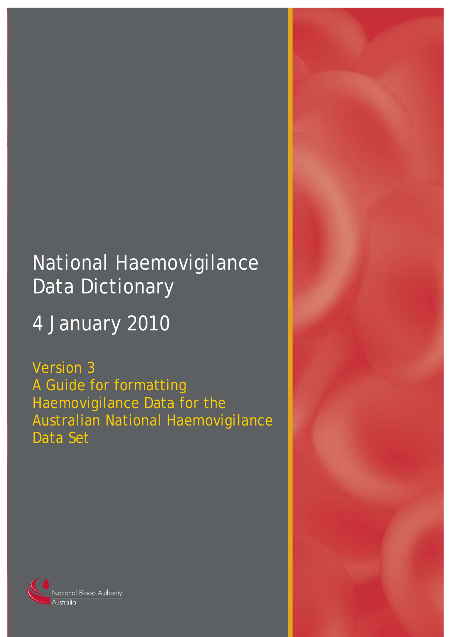# National Haemovigilance Data Dictionary

# 4 January 2010

Version 3 A Guide for formatting Haemovigilance Data for the Australian National Haemovigilance Data Set



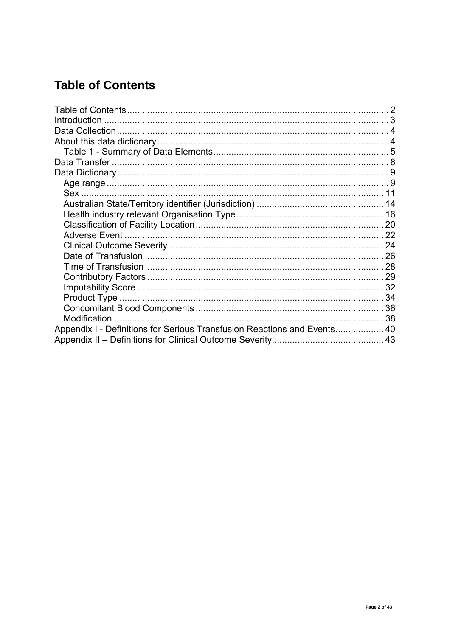# <span id="page-1-0"></span>**Table of Contents**

| <b>Modification</b>                                                      |  |
|--------------------------------------------------------------------------|--|
| Appendix I - Definitions for Serious Transfusion Reactions and Events 40 |  |
|                                                                          |  |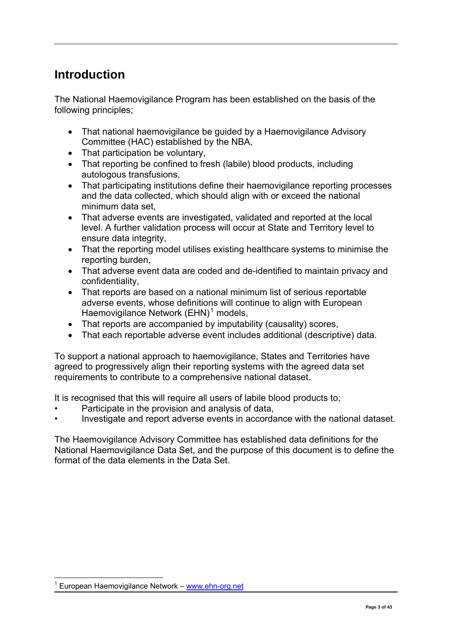# <span id="page-2-0"></span>**Introduction**

The National Haemovigilance Program has been established on the basis of the following principles;

- That national haemovigilance be guided by a Haemovigilance Advisory Committee (HAC) established by the NBA,
- That participation be voluntary,
- That reporting be confined to fresh (labile) blood products, including autologous transfusions,
- That participating institutions define their haemovigilance reporting processes and the data collected, which should align with or exceed the national minimum data set
- That adverse events are investigated, validated and reported at the local level. A further validation process will occur at State and Territory level to ensure data integrity,
- That the reporting model utilises existing healthcare systems to minimise the reporting burden,
- That adverse event data are coded and de-identified to maintain privacy and confidentiality,
- That reports are based on a national minimum list of serious reportable adverse events, whose definitions will continue to align with European Haemovigilance Network (EHN)<sup>[1](#page-2-1)</sup> models,
- That reports are accompanied by imputability (causality) scores,
- That each reportable adverse event includes additional (descriptive) data.

To support a national approach to haemovigilance, States and Territories have agreed to progressively align their reporting systems with the agreed data set requirements to contribute to a comprehensive national dataset.

It is recognised that this will require all users of labile blood products to;

- Participate in the provision and analysis of data,
- Investigate and report adverse events in accordance with the national dataset.

The Haemovigilance Advisory Committee has established data definitions for the National Haemovigilance Data Set, and the purpose of this document is to define the format of the data elements in the Data Set.

<span id="page-2-1"></span> $\overline{a}$ 1 European Haemovigilance Network – [www.ehn-org.net](http://www.ehn-org.net/)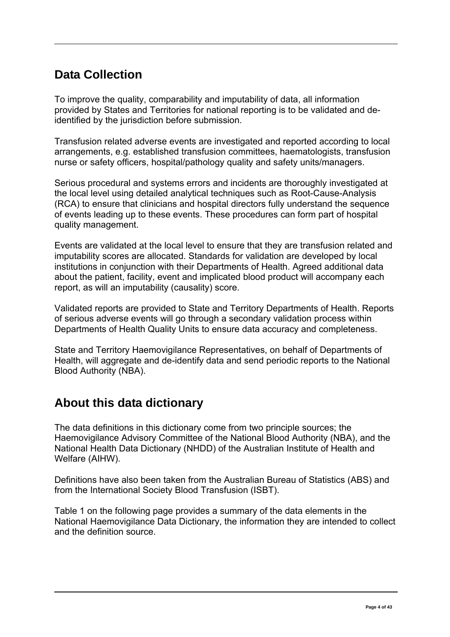# <span id="page-3-0"></span>**Data Collection**

To improve the quality, comparability and imputability of data, all information provided by States and Territories for national reporting is to be validated and deidentified by the jurisdiction before submission.

Transfusion related adverse events are investigated and reported according to local arrangements, e.g. established transfusion committees, haematologists, transfusion nurse or safety officers, hospital/pathology quality and safety units/managers.

Serious procedural and systems errors and incidents are thoroughly investigated at the local level using detailed analytical techniques such as Root-Cause-Analysis (RCA) to ensure that clinicians and hospital directors fully understand the sequence of events leading up to these events. These procedures can form part of hospital quality management.

Events are validated at the local level to ensure that they are transfusion related and imputability scores are allocated. Standards for validation are developed by local institutions in conjunction with their Departments of Health. Agreed additional data about the patient, facility, event and implicated blood product will accompany each report, as will an imputability (causality) score.

Validated reports are provided to State and Territory Departments of Health. Reports of serious adverse events will go through a secondary validation process within Departments of Health Quality Units to ensure data accuracy and completeness.

State and Territory Haemovigilance Representatives, on behalf of Departments of Health, will aggregate and de-identify data and send periodic reports to the National Blood Authority (NBA).

# **About this data dictionary**

The data definitions in this dictionary come from two principle sources; the Haemovigilance Advisory Committee of the National Blood Authority (NBA), and the National Health Data Dictionary (NHDD) of the Australian Institute of Health and Welfare (AIHW).

Definitions have also been taken from the Australian Bureau of Statistics (ABS) and from the International Society Blood Transfusion (ISBT).

Table 1 on the following page provides a summary of the data elements in the National Haemovigilance Data Dictionary, the information they are intended to collect and the definition source.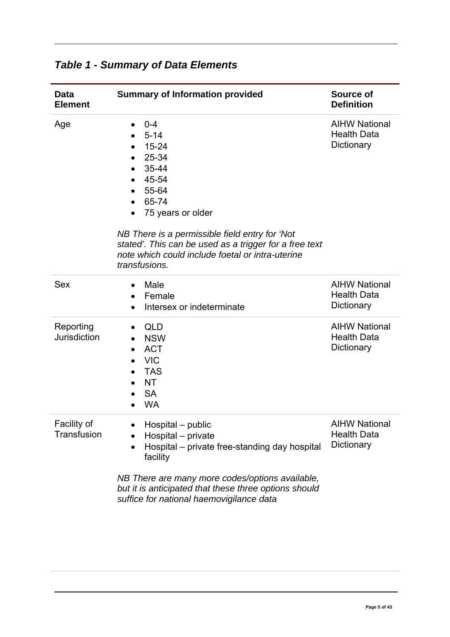| <b>Data</b><br><b>Element</b>    | <b>Summary of Information provided</b>                                                                                                                                                                                                                                              | <b>Source of</b><br><b>Definition</b>                    |
|----------------------------------|-------------------------------------------------------------------------------------------------------------------------------------------------------------------------------------------------------------------------------------------------------------------------------------|----------------------------------------------------------|
| Age                              | $0 - 4$<br>$5 - 14$<br>$15 - 24$<br>25-34<br>35-44<br>45-54<br>55-64<br>65-74<br>75 years or older<br>NB There is a permissible field entry for 'Not<br>stated'. This can be used as a trigger for a free text<br>note which could include foetal or intra-uterine<br>transfusions. | <b>AIHW National</b><br><b>Health Data</b><br>Dictionary |
| <b>Sex</b>                       | Male<br>$\bullet$<br>Female<br>$\bullet$<br>Intersex or indeterminate                                                                                                                                                                                                               | <b>AIHW National</b><br><b>Health Data</b><br>Dictionary |
| Reporting<br><b>Jurisdiction</b> | <b>QLD</b><br>٠<br><b>NSW</b><br><b>ACT</b><br><b>VIC</b><br><b>TAS</b><br><b>NT</b><br><b>SA</b><br><b>WA</b>                                                                                                                                                                      | <b>AIHW National</b><br><b>Health Data</b><br>Dictionary |
| Facility of<br>Transfusion       | Hospital – public<br>Hospital - private<br>Hospital – private free-standing day hospital<br>facility<br>NB There are many more codes/options available,<br>but it is anticipated that these three options should<br>suffice for national haemovigilance data                        | <b>AIHW National</b><br><b>Health Data</b><br>Dictionary |

# <span id="page-4-0"></span>*Table 1 - Summary of Data Elements*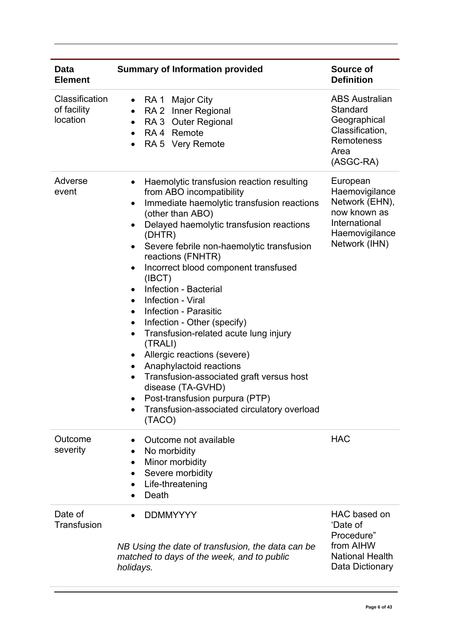| <b>Data</b><br><b>Element</b>             | <b>Summary of Information provided</b>                                                                                                                                                                                                                                                                                                                                                                                                                                                                                                                                                                                                                                                                                                                                                                                      | <b>Source of</b><br><b>Definition</b>                                                                            |
|-------------------------------------------|-----------------------------------------------------------------------------------------------------------------------------------------------------------------------------------------------------------------------------------------------------------------------------------------------------------------------------------------------------------------------------------------------------------------------------------------------------------------------------------------------------------------------------------------------------------------------------------------------------------------------------------------------------------------------------------------------------------------------------------------------------------------------------------------------------------------------------|------------------------------------------------------------------------------------------------------------------|
| Classification<br>of facility<br>location | RA 1 Major City<br>$\bullet$<br>RA 2 Inner Regional<br>$\bullet$<br>RA 3 Outer Regional<br>$\bullet$<br>RA 4 Remote<br>$\bullet$<br>RA 5 Very Remote<br>$\bullet$                                                                                                                                                                                                                                                                                                                                                                                                                                                                                                                                                                                                                                                           | <b>ABS Australian</b><br>Standard<br>Geographical<br>Classification,<br>Remoteness<br>Area<br>(ASGC-RA)          |
| Adverse<br>event                          | Haemolytic transfusion reaction resulting<br>$\bullet$<br>from ABO incompatibility<br>Immediate haemolytic transfusion reactions<br>$\bullet$<br>(other than ABO)<br>Delayed haemolytic transfusion reactions<br>$\bullet$<br>(DHTR)<br>Severe febrile non-haemolytic transfusion<br>reactions (FNHTR)<br>Incorrect blood component transfused<br>(IBCT)<br>Infection - Bacterial<br>$\bullet$<br>Infection - Viral<br>$\bullet$<br>Infection - Parasitic<br>$\bullet$<br>Infection - Other (specify)<br>$\bullet$<br>Transfusion-related acute lung injury<br>$\bullet$<br>(TRALI)<br>Allergic reactions (severe)<br>٠<br>Anaphylactoid reactions<br>$\bullet$<br>Transfusion-associated graft versus host<br>disease (TA-GVHD)<br>Post-transfusion purpura (PTP)<br>Transfusion-associated circulatory overload<br>(TACO) | European<br>Haemovigilance<br>Network (EHN),<br>now known as<br>International<br>Haemovigilance<br>Network (IHN) |
| Outcome<br>severity                       | Outcome not available<br>No morbidity<br>٠<br>Minor morbidity<br>Severe morbidity<br>Life-threatening<br>Death                                                                                                                                                                                                                                                                                                                                                                                                                                                                                                                                                                                                                                                                                                              | <b>HAC</b>                                                                                                       |
| Date of<br>Transfusion                    | <b>DDMMYYYY</b><br>NB Using the date of transfusion, the data can be<br>matched to days of the week, and to public<br>holidays.                                                                                                                                                                                                                                                                                                                                                                                                                                                                                                                                                                                                                                                                                             | HAC based on<br>'Date of<br>Procedure"<br>from AIHW<br><b>National Health</b><br>Data Dictionary                 |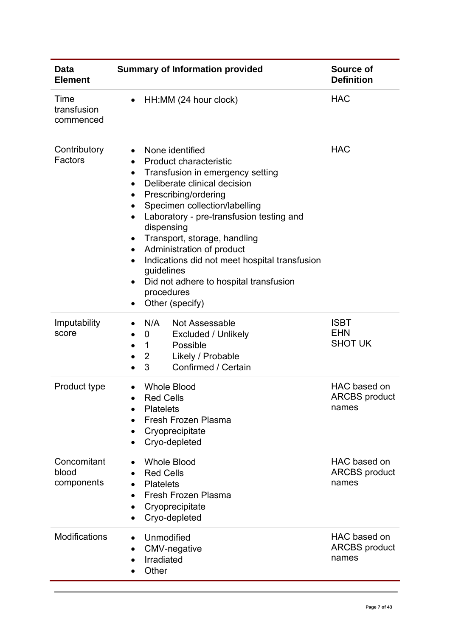| <b>Data</b><br><b>Element</b>      | <b>Summary of Information provided</b>                                                                                                                                                                                                                                                                                                                                                                                                                                                                                                                                                                     | Source of<br><b>Definition</b>                |
|------------------------------------|------------------------------------------------------------------------------------------------------------------------------------------------------------------------------------------------------------------------------------------------------------------------------------------------------------------------------------------------------------------------------------------------------------------------------------------------------------------------------------------------------------------------------------------------------------------------------------------------------------|-----------------------------------------------|
| Time<br>transfusion<br>commenced   | HH:MM (24 hour clock)                                                                                                                                                                                                                                                                                                                                                                                                                                                                                                                                                                                      | <b>HAC</b>                                    |
| Contributory<br>Factors            | None identified<br>$\bullet$<br><b>Product characteristic</b><br>$\bullet$<br>Transfusion in emergency setting<br>$\bullet$<br>Deliberate clinical decision<br>$\bullet$<br>Prescribing/ordering<br>$\bullet$<br>Specimen collection/labelling<br>$\bullet$<br>Laboratory - pre-transfusion testing and<br>$\bullet$<br>dispensing<br>Transport, storage, handling<br>$\bullet$<br>Administration of product<br>$\bullet$<br>Indications did not meet hospital transfusion<br>$\bullet$<br>guidelines<br>Did not adhere to hospital transfusion<br>$\bullet$<br>procedures<br>Other (specify)<br>$\bullet$ | <b>HAC</b>                                    |
| Imputability<br>score              | Not Assessable<br>N/A<br><b>Excluded / Unlikely</b><br>0<br>Possible<br>$\mathbf{1}$<br>$\bullet$<br>$\overline{2}$<br>Likely / Probable<br>$\bullet$<br>Confirmed / Certain<br>3                                                                                                                                                                                                                                                                                                                                                                                                                          | <b>ISBT</b><br><b>EHN</b><br><b>SHOT UK</b>   |
| Product type                       | <b>Whole Blood</b><br><b>Red Cells</b><br><b>Platelets</b><br>Fresh Frozen Plasma<br>Cryoprecipitate<br>Cryo-depleted                                                                                                                                                                                                                                                                                                                                                                                                                                                                                      | HAC based on<br><b>ARCBS</b> product<br>names |
| Concomitant<br>blood<br>components | <b>Whole Blood</b><br>$\bullet$<br><b>Red Cells</b><br><b>Platelets</b><br>Fresh Frozen Plasma<br>$\bullet$<br>Cryoprecipitate<br>Cryo-depleted                                                                                                                                                                                                                                                                                                                                                                                                                                                            | HAC based on<br><b>ARCBS</b> product<br>names |
| <b>Modifications</b>               | Unmodified<br>CMV-negative<br>Irradiated<br>Other                                                                                                                                                                                                                                                                                                                                                                                                                                                                                                                                                          | HAC based on<br><b>ARCBS</b> product<br>names |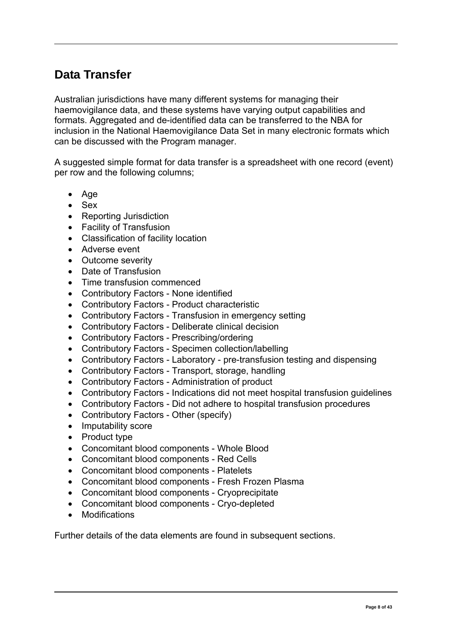# <span id="page-7-0"></span>**Data Transfer**

Australian jurisdictions have many different systems for managing their haemovigilance data, and these systems have varying output capabilities and formats. Aggregated and de-identified data can be transferred to the NBA for inclusion in the National Haemovigilance Data Set in many electronic formats which can be discussed with the Program manager.

A suggested simple format for data transfer is a spreadsheet with one record (event) per row and the following columns;

- Age
- Sex
- Reporting Jurisdiction
- Facility of Transfusion
- Classification of facility location
- Adverse event
- Outcome severity
- Date of Transfusion
- Time transfusion commenced
- Contributory Factors None identified
- Contributory Factors Product characteristic
- Contributory Factors Transfusion in emergency setting
- Contributory Factors Deliberate clinical decision
- Contributory Factors Prescribing/ordering
- Contributory Factors Specimen collection/labelling
- Contributory Factors Laboratory pre-transfusion testing and dispensing
- Contributory Factors Transport, storage, handling
- Contributory Factors Administration of product
- Contributory Factors Indications did not meet hospital transfusion guidelines
- Contributory Factors Did not adhere to hospital transfusion procedures
- Contributory Factors Other (specify)
- Imputability score
- Product type
- Concomitant blood components Whole Blood
- Concomitant blood components Red Cells
- Concomitant blood components Platelets
- Concomitant blood components Fresh Frozen Plasma
- Concomitant blood components Cryoprecipitate
- Concomitant blood components Cryo-depleted
- Modifications

Further details of the data elements are found in subsequent sections.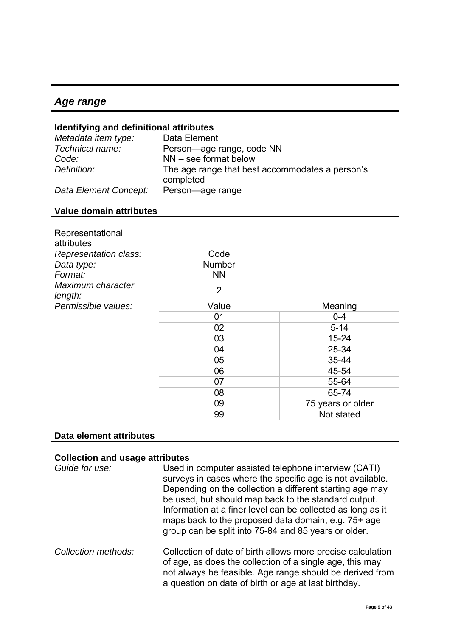### <span id="page-8-0"></span>*Age range*

#### **Identifying and definitional attributes**

| Metadata item type:   | Data Element                                                 |
|-----------------------|--------------------------------------------------------------|
| Technical name:       | Person-age range, code NN                                    |
| Code:                 | $NN$ – see format below                                      |
| Definition:           | The age range that best accommodates a person's<br>completed |
| Data Element Concept: | Person-age range                                             |

#### **Value domain attributes**

| Representational<br>attributes<br>Representation class:<br>Data type:<br>Format: | Code<br><b>Number</b><br><b>NN</b> |                   |
|----------------------------------------------------------------------------------|------------------------------------|-------------------|
| Maximum character<br>length:                                                     | $\overline{2}$                     |                   |
| Permissible values:                                                              | Value                              | Meaning           |
|                                                                                  | 01                                 | $0 - 4$           |
|                                                                                  | 02                                 | $5 - 14$          |
|                                                                                  | 03                                 | $15 - 24$         |
|                                                                                  | 04                                 | 25-34             |
|                                                                                  | 05                                 | 35-44             |
|                                                                                  | 06                                 | 45-54             |
|                                                                                  | 07                                 | 55-64             |
|                                                                                  | 08                                 | 65-74             |
|                                                                                  | 09                                 | 75 years or older |
|                                                                                  | 99                                 | Not stated        |

#### **Data element attributes**

#### **Collection and usage attributes**

| Guide for use:      | Used in computer assisted telephone interview (CATI)<br>surveys in cases where the specific age is not available.<br>Depending on the collection a different starting age may<br>be used, but should map back to the standard output.<br>Information at a finer level can be collected as long as it<br>maps back to the proposed data domain, e.g. 75+ age<br>group can be split into 75-84 and 85 years or older. |
|---------------------|---------------------------------------------------------------------------------------------------------------------------------------------------------------------------------------------------------------------------------------------------------------------------------------------------------------------------------------------------------------------------------------------------------------------|
| Collection methods: | Collection of date of birth allows more precise calculation<br>of age, as does the collection of a single age, this may<br>not always be feasible. Age range should be derived from<br>a question on date of birth or age at last birthday.                                                                                                                                                                         |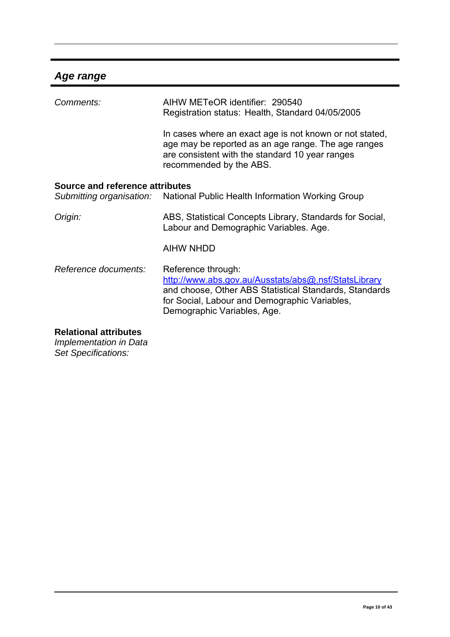# *Age range*

| AIHW METeOR identifier: 290540<br>Registration status: Health, Standard 04/05/2005                                                                                                                                   |
|----------------------------------------------------------------------------------------------------------------------------------------------------------------------------------------------------------------------|
| In cases where an exact age is not known or not stated,<br>age may be reported as an age range. The age ranges<br>are consistent with the standard 10 year ranges<br>recommended by the ABS.                         |
| Source and reference attributes<br>Submitting organisation: National Public Health Information Working Group                                                                                                         |
| ABS, Statistical Concepts Library, Standards for Social,<br>Labour and Demographic Variables. Age.                                                                                                                   |
| <b>AIHW NHDD</b>                                                                                                                                                                                                     |
| Reference through:<br>http://www.abs.gov.au/Ausstats/abs@.nsf/StatsLibrary<br>and choose, Other ABS Statistical Standards, Standards<br>for Social, Labour and Demographic Variables,<br>Demographic Variables, Age. |
|                                                                                                                                                                                                                      |

#### **Relational attributes**

*Implementation in Data Set Specifications:*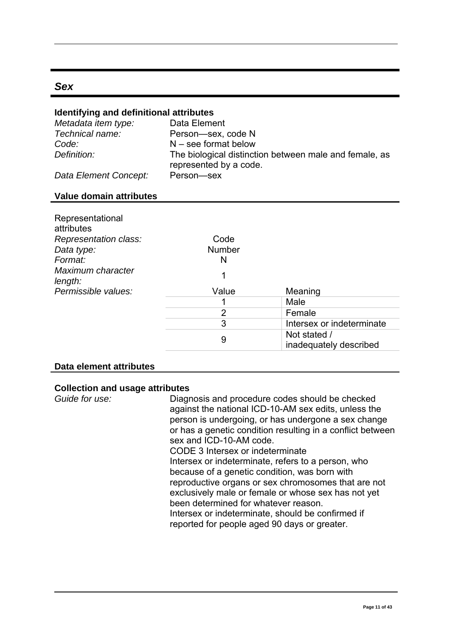#### <span id="page-10-0"></span>*Sex*

#### **Identifying and definitional attributes**

| Metadata item type:   | Data Element                                                                     |
|-----------------------|----------------------------------------------------------------------------------|
| Technical name:       | Person-sex, code N                                                               |
| Code:                 | $N$ – see format below                                                           |
| Definition:           | The biological distinction between male and female, as<br>represented by a code. |
| Data Element Concept: | Person-sex                                                                       |

#### **Value domain attributes**

| Representational<br>attributes      |                |                                        |
|-------------------------------------|----------------|----------------------------------------|
| Representation class:<br>Data type: | Code<br>Number |                                        |
| Format:                             | N              |                                        |
| Maximum character<br>length:        | 1              |                                        |
| Permissible values:                 | Value          | Meaning                                |
|                                     |                | Male                                   |
|                                     | 2              | Female                                 |
|                                     | 3              | Intersex or indeterminate              |
|                                     | 9              | Not stated /<br>inadequately described |

#### **Data element attributes**

#### **Collection and usage attributes**

*Guide for use:* Diagnosis and procedure codes should be checked against the national ICD-10-AM sex edits, unless the person is undergoing, or has undergone a sex change or has a genetic condition resulting in a conflict between sex and ICD-10-AM code.

CODE 3 Intersex or indeterminate Intersex or indeterminate, refers to a person, who because of a genetic condition, was born with reproductive organs or sex chromosomes that are not exclusively male or female or whose sex has not yet been determined for whatever reason. Intersex or indeterminate, should be confirmed if

reported for people aged 90 days or greater.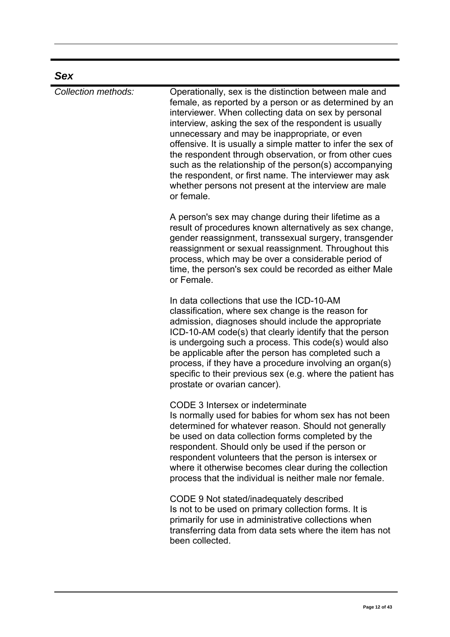| <b>Sex</b>          |                                                                                                                                                                                                                                                                                                                                                                                                                                                                                                                                                                                                          |
|---------------------|----------------------------------------------------------------------------------------------------------------------------------------------------------------------------------------------------------------------------------------------------------------------------------------------------------------------------------------------------------------------------------------------------------------------------------------------------------------------------------------------------------------------------------------------------------------------------------------------------------|
| Collection methods: | Operationally, sex is the distinction between male and<br>female, as reported by a person or as determined by an<br>interviewer. When collecting data on sex by personal<br>interview, asking the sex of the respondent is usually<br>unnecessary and may be inappropriate, or even<br>offensive. It is usually a simple matter to infer the sex of<br>the respondent through observation, or from other cues<br>such as the relationship of the person(s) accompanying<br>the respondent, or first name. The interviewer may ask<br>whether persons not present at the interview are male<br>or female. |
|                     | A person's sex may change during their lifetime as a<br>result of procedures known alternatively as sex change,<br>gender reassignment, transsexual surgery, transgender<br>reassignment or sexual reassignment. Throughout this<br>process, which may be over a considerable period of<br>time, the person's sex could be recorded as either Male<br>or Female.                                                                                                                                                                                                                                         |
|                     | In data collections that use the ICD-10-AM<br>classification, where sex change is the reason for<br>admission, diagnoses should include the appropriate<br>ICD-10-AM code(s) that clearly identify that the person<br>is undergoing such a process. This code(s) would also<br>be applicable after the person has completed such a<br>process, if they have a procedure involving an organ(s)<br>specific to their previous sex (e.g. where the patient has<br>prostate or ovarian cancer).                                                                                                              |
|                     | CODE 3 Intersex or indeterminate<br>Is normally used for babies for whom sex has not been<br>determined for whatever reason. Should not generally<br>be used on data collection forms completed by the<br>respondent. Should only be used if the person or<br>respondent volunteers that the person is intersex or<br>where it otherwise becomes clear during the collection<br>process that the individual is neither male nor female.                                                                                                                                                                  |
|                     | CODE 9 Not stated/inadequately described<br>Is not to be used on primary collection forms. It is<br>primarily for use in administrative collections when<br>transferring data from data sets where the item has not<br>been collected.                                                                                                                                                                                                                                                                                                                                                                   |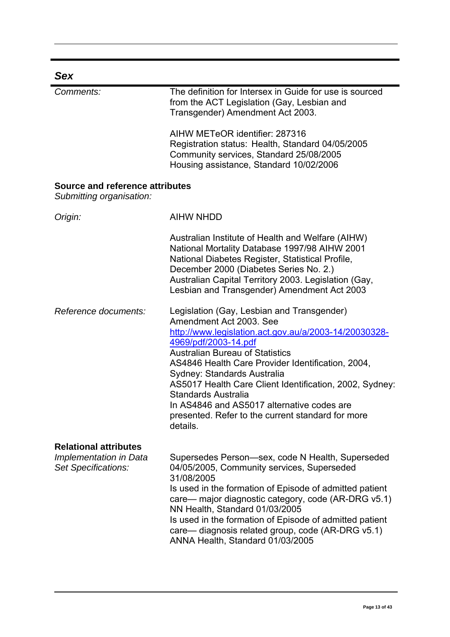| Sex                                                                           |                                                                                                                                                                                                                                                                                                                                                                                                                                                                                       |
|-------------------------------------------------------------------------------|---------------------------------------------------------------------------------------------------------------------------------------------------------------------------------------------------------------------------------------------------------------------------------------------------------------------------------------------------------------------------------------------------------------------------------------------------------------------------------------|
| Comments:                                                                     | The definition for Intersex in Guide for use is sourced<br>from the ACT Legislation (Gay, Lesbian and<br>Transgender) Amendment Act 2003.                                                                                                                                                                                                                                                                                                                                             |
|                                                                               | AIHW METeOR identifier: 287316<br>Registration status: Health, Standard 04/05/2005<br>Community services, Standard 25/08/2005<br>Housing assistance, Standard 10/02/2006                                                                                                                                                                                                                                                                                                              |
| Source and reference attributes<br>Submitting organisation:                   |                                                                                                                                                                                                                                                                                                                                                                                                                                                                                       |
| Origin:                                                                       | <b>AIHW NHDD</b>                                                                                                                                                                                                                                                                                                                                                                                                                                                                      |
|                                                                               | Australian Institute of Health and Welfare (AIHW)<br>National Mortality Database 1997/98 AIHW 2001<br>National Diabetes Register, Statistical Profile,<br>December 2000 (Diabetes Series No. 2.)<br>Australian Capital Territory 2003. Legislation (Gay,<br>Lesbian and Transgender) Amendment Act 2003                                                                                                                                                                               |
| Reference documents:                                                          | Legislation (Gay, Lesbian and Transgender)<br>Amendment Act 2003, See<br>http://www.legislation.act.gov.au/a/2003-14/20030328-<br>4969/pdf/2003-14.pdf<br><b>Australian Bureau of Statistics</b><br>AS4846 Health Care Provider Identification, 2004,<br>Sydney: Standards Australia<br>AS5017 Health Care Client Identification, 2002, Sydney:<br>Standards Australia<br>In AS4846 and AS5017 alternative codes are<br>presented. Refer to the current standard for more<br>details. |
| <b>Relational attributes</b><br>Implementation in Data<br>Set Specifications: | Supersedes Person-sex, code N Health, Superseded<br>04/05/2005, Community services, Superseded<br>31/08/2005<br>Is used in the formation of Episode of admitted patient<br>care— major diagnostic category, code (AR-DRG v5.1)<br>NN Health, Standard 01/03/2005<br>Is used in the formation of Episode of admitted patient<br>care— diagnosis related group, code (AR-DRG v5.1)<br>ANNA Health, Standard 01/03/2005                                                                  |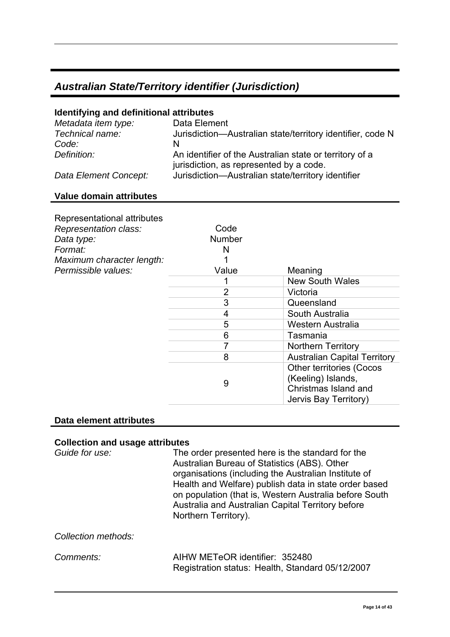# <span id="page-13-0"></span>*Australian State/Territory identifier (Jurisdiction)*

#### **Identifying and definitional attributes**

| Metadata item type:   | Data Element                                                                                       |
|-----------------------|----------------------------------------------------------------------------------------------------|
| Technical name:       | Jurisdiction-Australian state/territory identifier, code N                                         |
| Code:                 | N                                                                                                  |
| Definition:           | An identifier of the Australian state or territory of a<br>jurisdiction, as represented by a code. |
| Data Element Concept: | Jurisdiction-Australian state/territory identifier                                                 |

#### **Value domain attributes**

| Representational attributes<br>Representation class:<br>Data type:<br>Format:<br>Maximum character length: | Code<br><b>Number</b><br>N |                                                                                                        |
|------------------------------------------------------------------------------------------------------------|----------------------------|--------------------------------------------------------------------------------------------------------|
| Permissible values:                                                                                        | Value                      | Meaning                                                                                                |
|                                                                                                            |                            | <b>New South Wales</b>                                                                                 |
|                                                                                                            | $\overline{2}$             | Victoria                                                                                               |
|                                                                                                            | 3                          | Queensland                                                                                             |
|                                                                                                            | 4                          | South Australia                                                                                        |
|                                                                                                            | 5                          | Western Australia                                                                                      |
|                                                                                                            | 6                          | Tasmania                                                                                               |
|                                                                                                            |                            | <b>Northern Territory</b>                                                                              |
|                                                                                                            | 8                          | <b>Australian Capital Territory</b>                                                                    |
|                                                                                                            | 9                          | <b>Other territories (Cocos</b><br>(Keeling) Islands,<br>Christmas Island and<br>Jervis Bay Territory) |

#### **Data element attributes**

#### **Collection and usage attributes**

| Guide for use:      | The order presented here is the standard for the<br>Australian Bureau of Statistics (ABS). Other<br>organisations (including the Australian Institute of<br>Health and Welfare) publish data in state order based<br>on population (that is, Western Australia before South<br>Australia and Australian Capital Territory before<br>Northern Territory). |
|---------------------|----------------------------------------------------------------------------------------------------------------------------------------------------------------------------------------------------------------------------------------------------------------------------------------------------------------------------------------------------------|
| Collection methods: |                                                                                                                                                                                                                                                                                                                                                          |
| Comments:           | AIHW METeOR identifier: 352480<br>Registration status: Health, Standard 05/12/2007                                                                                                                                                                                                                                                                       |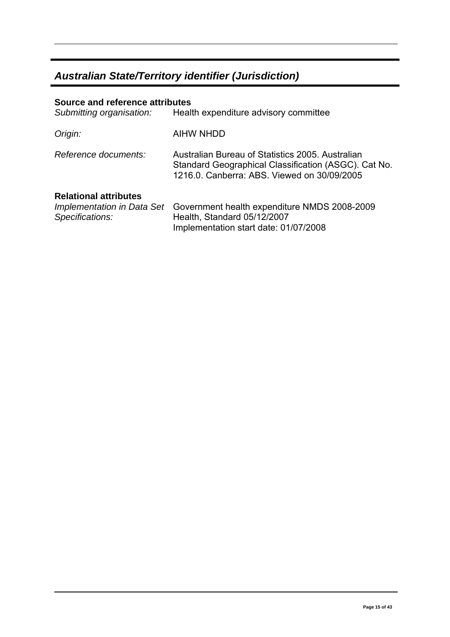### *Australian State/Territory identifier (Jurisdiction)*

### **Source and reference attributes**  *Submitting organisation:* Health expenditure advisory committee *Origin:* AIHW NHDD *Reference documents:* Australian Bureau of Statistics 2005. Australian Standard Geographical Classification (ASGC). Cat No. 1216.0. Canberra: ABS. Viewed on 30/09/2005 **Relational attributes**  *Implementation in Data Set*  Government health expenditure NMDS 2008-2009 *Specifications:*  Health, Standard 05/12/2007 Implementation start date: 01/07/2008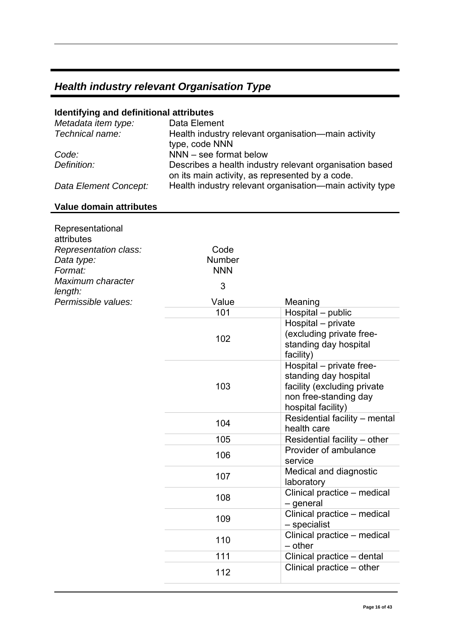# <span id="page-15-0"></span>**Identifying and definitional attributes**

| Metadata item type:   | Data Element                                                                                               |
|-----------------------|------------------------------------------------------------------------------------------------------------|
| Technical name:       | Health industry relevant organisation—main activity                                                        |
|                       | type, code NNN                                                                                             |
| Code:                 | NNN - see format below                                                                                     |
| Definition:           | Describes a health industry relevant organisation based<br>on its main activity, as represented by a code. |
| Data Element Concept: | Health industry relevant organisation—main activity type                                                   |

#### **Value domain attributes**

| Representational<br>attributes                 |                              |                                                                                                                                 |
|------------------------------------------------|------------------------------|---------------------------------------------------------------------------------------------------------------------------------|
| Representation class:<br>Data type:<br>Format: | Code<br>Number<br><b>NNN</b> |                                                                                                                                 |
| Maximum character<br>length:                   | 3                            |                                                                                                                                 |
| Permissible values:                            | Value                        | Meaning                                                                                                                         |
|                                                | 101                          | Hospital - public                                                                                                               |
|                                                | 102                          | Hospital - private<br>(excluding private free-<br>standing day hospital<br>facility)                                            |
|                                                | 103                          | Hospital - private free-<br>standing day hospital<br>facility (excluding private<br>non free-standing day<br>hospital facility) |
|                                                | 104                          | Residential facility - mental<br>health care                                                                                    |
|                                                | 105                          | Residential facility - other                                                                                                    |
|                                                | 106                          | Provider of ambulance<br>service                                                                                                |
|                                                | 107                          | Medical and diagnostic<br>laboratory                                                                                            |
|                                                | 108                          | Clinical practice - medical<br>- general                                                                                        |
|                                                | 109                          | Clinical practice - medical<br>- specialist                                                                                     |
|                                                | 110                          | Clinical practice - medical<br>$-$ other                                                                                        |
|                                                | 111                          | Clinical practice - dental                                                                                                      |
|                                                | 112                          | Clinical practice – other                                                                                                       |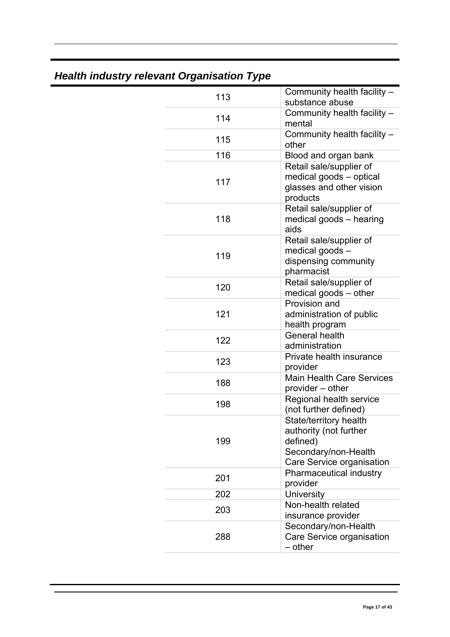| Community health facility -<br>113<br>substance abuse<br>Community health facility -<br>114<br>mental<br>Community health facility -<br>115<br>other<br>116<br>Blood and organ bank<br>Retail sale/supplier of<br>medical goods - optical<br>117<br>glasses and other vision<br>products<br>Retail sale/supplier of<br>118<br>medical goods - hearing |
|-------------------------------------------------------------------------------------------------------------------------------------------------------------------------------------------------------------------------------------------------------------------------------------------------------------------------------------------------------|
|                                                                                                                                                                                                                                                                                                                                                       |
|                                                                                                                                                                                                                                                                                                                                                       |
|                                                                                                                                                                                                                                                                                                                                                       |
|                                                                                                                                                                                                                                                                                                                                                       |
|                                                                                                                                                                                                                                                                                                                                                       |
| aids                                                                                                                                                                                                                                                                                                                                                  |
| Retail sale/supplier of<br>medical goods -<br>119<br>dispensing community<br>pharmacist                                                                                                                                                                                                                                                               |
| Retail sale/supplier of<br>120<br>medical goods - other                                                                                                                                                                                                                                                                                               |
| Provision and<br>121<br>administration of public<br>health program                                                                                                                                                                                                                                                                                    |
| <b>General health</b><br>122<br>administration                                                                                                                                                                                                                                                                                                        |
| Private health insurance<br>123<br>provider                                                                                                                                                                                                                                                                                                           |
| <b>Main Health Care Services</b><br>188<br>provider - other                                                                                                                                                                                                                                                                                           |
| Regional health service<br>198<br>(not further defined)                                                                                                                                                                                                                                                                                               |
| State/territory health<br>authority (not further<br>199<br>defined)<br>Secondary/non-Health<br>Care Service organisation                                                                                                                                                                                                                              |
| Pharmaceutical industry<br>201<br>provider                                                                                                                                                                                                                                                                                                            |
| <b>University</b><br>202                                                                                                                                                                                                                                                                                                                              |
| Non-health related<br>203<br>insurance provider                                                                                                                                                                                                                                                                                                       |
| Secondary/non-Health<br>Care Service organisation<br>288<br>- other                                                                                                                                                                                                                                                                                   |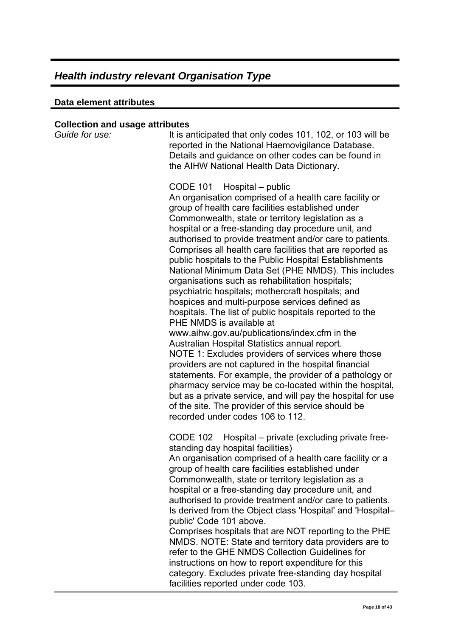#### **Data element attributes**

#### **Collection and usage attributes**

| Concenton and usage all ibules<br>Guide for use: |                                                                                                                                                                                                                                                                                                                                                                                                                                                                                                                                                                                                                                                                                                                                                                                                                                                                                                                                                                                                                                                                                                                                                                                                                                                            |
|--------------------------------------------------|------------------------------------------------------------------------------------------------------------------------------------------------------------------------------------------------------------------------------------------------------------------------------------------------------------------------------------------------------------------------------------------------------------------------------------------------------------------------------------------------------------------------------------------------------------------------------------------------------------------------------------------------------------------------------------------------------------------------------------------------------------------------------------------------------------------------------------------------------------------------------------------------------------------------------------------------------------------------------------------------------------------------------------------------------------------------------------------------------------------------------------------------------------------------------------------------------------------------------------------------------------|
|                                                  | It is anticipated that only codes 101, 102, or 103 will be<br>reported in the National Haemovigilance Database.<br>Details and guidance on other codes can be found in<br>the AIHW National Health Data Dictionary.                                                                                                                                                                                                                                                                                                                                                                                                                                                                                                                                                                                                                                                                                                                                                                                                                                                                                                                                                                                                                                        |
|                                                  | <b>CODE 101</b><br>Hospital – public<br>An organisation comprised of a health care facility or<br>group of health care facilities established under<br>Commonwealth, state or territory legislation as a<br>hospital or a free-standing day procedure unit, and<br>authorised to provide treatment and/or care to patients.<br>Comprises all health care facilities that are reported as<br>public hospitals to the Public Hospital Establishments<br>National Minimum Data Set (PHE NMDS). This includes<br>organisations such as rehabilitation hospitals;<br>psychiatric hospitals; mothercraft hospitals; and<br>hospices and multi-purpose services defined as<br>hospitals. The list of public hospitals reported to the<br>PHE NMDS is available at<br>www.aihw.gov.au/publications/index.cfm in the<br>Australian Hospital Statistics annual report.<br>NOTE 1: Excludes providers of services where those<br>providers are not captured in the hospital financial<br>statements. For example, the provider of a pathology or<br>pharmacy service may be co-located within the hospital,<br>but as a private service, and will pay the hospital for use<br>of the site. The provider of this service should be<br>recorded under codes 106 to 112. |
|                                                  | CODE 102 Hospital – private (excluding private free-<br>standing day hospital facilities)<br>An organisation comprised of a health care facility or a<br>group of health care facilities established under<br>Commonwealth, state or territory legislation as a<br>hospital or a free-standing day procedure unit, and<br>authorised to provide treatment and/or care to patients.<br>Is derived from the Object class 'Hospital' and 'Hospital-<br>public' Code 101 above.<br>Comprises hospitals that are NOT reporting to the PHE<br>NMDS. NOTE: State and territory data providers are to<br>refer to the GHE NMDS Collection Guidelines for<br>instructions on how to report expenditure for this<br>category. Excludes private free-standing day hospital<br>facilities reported under code 103.                                                                                                                                                                                                                                                                                                                                                                                                                                                     |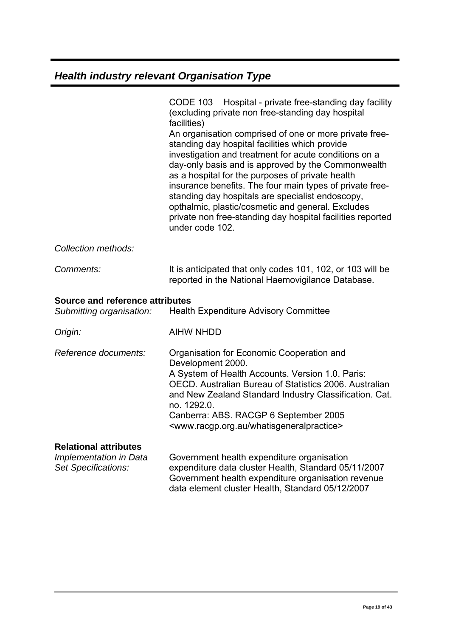|                                                                               | CODE 103 Hospital - private free-standing day facility<br>(excluding private non free-standing day hospital<br>facilities)<br>An organisation comprised of one or more private free-<br>standing day hospital facilities which provide<br>investigation and treatment for acute conditions on a<br>day-only basis and is approved by the Commonwealth<br>as a hospital for the purposes of private health<br>insurance benefits. The four main types of private free-<br>standing day hospitals are specialist endoscopy,<br>opthalmic, plastic/cosmetic and general. Excludes<br>private non free-standing day hospital facilities reported<br>under code 102. |
|-------------------------------------------------------------------------------|-----------------------------------------------------------------------------------------------------------------------------------------------------------------------------------------------------------------------------------------------------------------------------------------------------------------------------------------------------------------------------------------------------------------------------------------------------------------------------------------------------------------------------------------------------------------------------------------------------------------------------------------------------------------|
| Collection methods:                                                           |                                                                                                                                                                                                                                                                                                                                                                                                                                                                                                                                                                                                                                                                 |
| Comments:                                                                     | It is anticipated that only codes 101, 102, or 103 will be<br>reported in the National Haemovigilance Database.                                                                                                                                                                                                                                                                                                                                                                                                                                                                                                                                                 |
| Source and reference attributes<br>Submitting organisation:                   | <b>Health Expenditure Advisory Committee</b>                                                                                                                                                                                                                                                                                                                                                                                                                                                                                                                                                                                                                    |
| Origin:                                                                       | <b>AIHW NHDD</b>                                                                                                                                                                                                                                                                                                                                                                                                                                                                                                                                                                                                                                                |
| Reference documents:                                                          | Organisation for Economic Cooperation and<br>Development 2000.<br>A System of Health Accounts. Version 1.0. Paris:<br>OECD. Australian Bureau of Statistics 2006. Australian<br>and New Zealand Standard Industry Classification. Cat.<br>no. 1292.0.<br>Canberra: ABS. RACGP 6 September 2005<br><www.racgp.org.au whatisgeneralpractice=""></www.racgp.org.au>                                                                                                                                                                                                                                                                                                |
| <b>Relational attributes</b><br>Implementation in Data<br>Set Specifications: | Government health expenditure organisation<br>expenditure data cluster Health, Standard 05/11/2007<br>Government health expenditure organisation revenue<br>data element cluster Health, Standard 05/12/2007                                                                                                                                                                                                                                                                                                                                                                                                                                                    |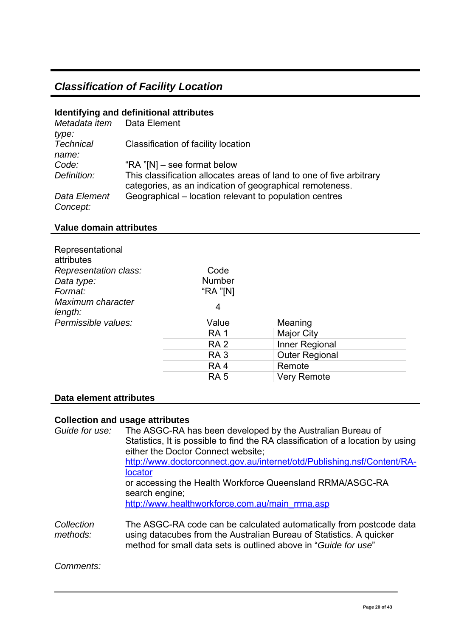# <span id="page-19-0"></span>*Classification of Facility Location*

#### **Identifying and definitional attributes**

| Metadata item<br>type:    | Data Element                                                                                                                     |
|---------------------------|----------------------------------------------------------------------------------------------------------------------------------|
| <b>Technical</b><br>name: | Classification of facility location                                                                                              |
| Code:                     | "RA $^{\prime\prime}$ [N] – see format below                                                                                     |
| Definition:               | This classification allocates areas of land to one of five arbitrary<br>categories, as an indication of geographical remoteness. |
| Data Element<br>Concept:  | Geographical – location relevant to population centres                                                                           |

#### **Value domain attributes**

| Representational<br>attributes |                 |                       |  |
|--------------------------------|-----------------|-----------------------|--|
| Representation class:          | Code            |                       |  |
| Data type:                     | <b>Number</b>   |                       |  |
| Format:                        | "RA "[N]        |                       |  |
| Maximum character<br>length:   | 4               |                       |  |
| Permissible values:            | Value           | Meaning               |  |
|                                | <b>RA1</b>      | <b>Major City</b>     |  |
|                                | <b>RA2</b>      | Inner Regional        |  |
|                                | RA <sub>3</sub> | <b>Outer Regional</b> |  |
|                                | RA <sub>4</sub> | Remote                |  |
|                                | <b>RA 5</b>     | <b>Very Remote</b>    |  |

#### **Data element attributes**

### **Collection and usage attributes**

| Guide for use:         | The ASGC-RA has been developed by the Australian Bureau of<br>Statistics, It is possible to find the RA classification of a location by using<br>either the Doctor Connect website;<br>http://www.doctorconnect.gov.au/internet/otd/Publishing.nsf/Content/RA-<br><b>locator</b><br>or accessing the Health Workforce Queensland RRMA/ASGC-RA |
|------------------------|-----------------------------------------------------------------------------------------------------------------------------------------------------------------------------------------------------------------------------------------------------------------------------------------------------------------------------------------------|
|                        | search engine;<br>http://www.healthworkforce.com.au/main rrma.asp                                                                                                                                                                                                                                                                             |
| Collection<br>methods: | The ASGC-RA code can be calculated automatically from postcode data<br>using datacubes from the Australian Bureau of Statistics. A quicker<br>method for small data sets is outlined above in "Guide for use"                                                                                                                                 |

*Comments:*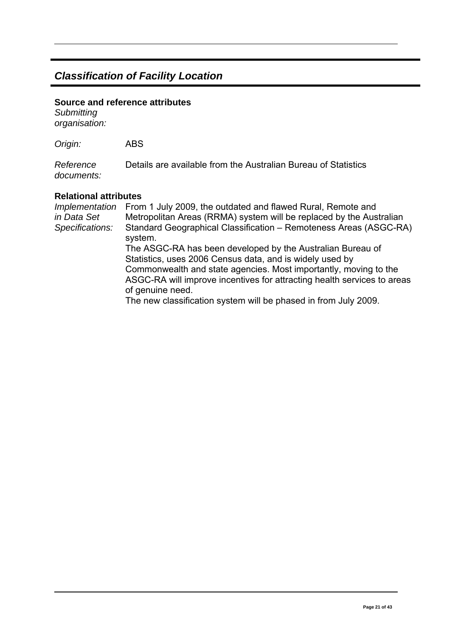### *Classification of Facility Location*

#### **Source and reference attributes**

*Submitting organisation:*

*Origin:* ABS

*Reference documents:* Details are available from the Australian Bureau of Statistics

#### **Relational attributes**

*Implementation in Data Set Specifications:*  From 1 July 2009, the outdated and flawed Rural, Remote and Metropolitan Areas (RRMA) system will be replaced by the Australian Standard Geographical Classification – Remoteness Areas (ASGC-RA) system. The ASGC-RA has been developed by the Australian Bureau of Statistics, uses 2006 Census data, and is widely used by Commonwealth and state agencies. Most importantly, moving to the ASGC-RA will improve incentives for attracting health services to areas of genuine need. The new classification system will be phased in from July 2009.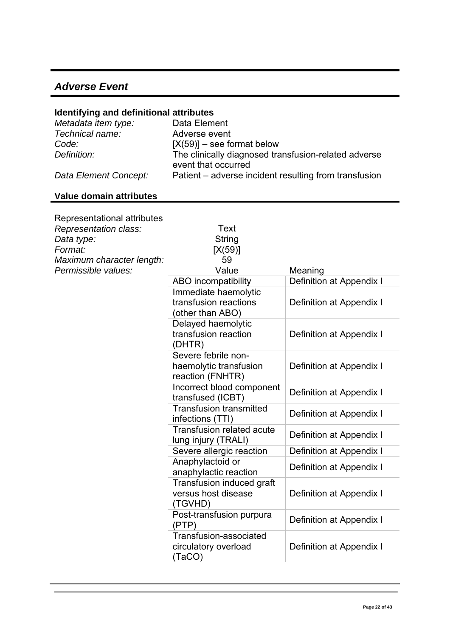### <span id="page-21-0"></span>*Adverse Event*

#### **Identifying and definitional attributes**

| Metadata item type:   | Data Element                                                                |
|-----------------------|-----------------------------------------------------------------------------|
| Technical name:       | Adverse event                                                               |
| Code:                 | $[X(59)]$ – see format below                                                |
| Definition:           | The clinically diagnosed transfusion-related adverse<br>event that occurred |
| Data Element Concept: | Patient – adverse incident resulting from transfusion                       |

# **Value domain attributes**

| Representational attributes<br>Representation class:<br>Data type:<br>Format:<br>Maximum character length: | Text<br><b>String</b><br>[X(59)]<br>59                            |                          |
|------------------------------------------------------------------------------------------------------------|-------------------------------------------------------------------|--------------------------|
| Permissible values:                                                                                        | Value                                                             | Meaning                  |
|                                                                                                            | ABO incompatibility                                               | Definition at Appendix I |
|                                                                                                            | Immediate haemolytic<br>transfusion reactions<br>(other than ABO) | Definition at Appendix I |
|                                                                                                            | Delayed haemolytic<br>transfusion reaction<br>(DHTR)              | Definition at Appendix I |
|                                                                                                            | Severe febrile non-<br>haemolytic transfusion<br>reaction (FNHTR) | Definition at Appendix I |
|                                                                                                            | Incorrect blood component<br>transfused (ICBT)                    | Definition at Appendix I |
|                                                                                                            | <b>Transfusion transmitted</b><br>infections (TTI)                | Definition at Appendix I |
|                                                                                                            | <b>Transfusion related acute</b><br>lung injury (TRALI)           | Definition at Appendix I |
|                                                                                                            | Severe allergic reaction                                          | Definition at Appendix I |
|                                                                                                            | Anaphylactoid or<br>anaphylactic reaction                         | Definition at Appendix I |
|                                                                                                            | Transfusion induced graft<br>versus host disease<br>(TGVHD)       | Definition at Appendix I |
|                                                                                                            | Post-transfusion purpura<br>(PTP)                                 | Definition at Appendix I |
|                                                                                                            | Transfusion-associated<br>circulatory overload<br>(TaCO)          | Definition at Appendix I |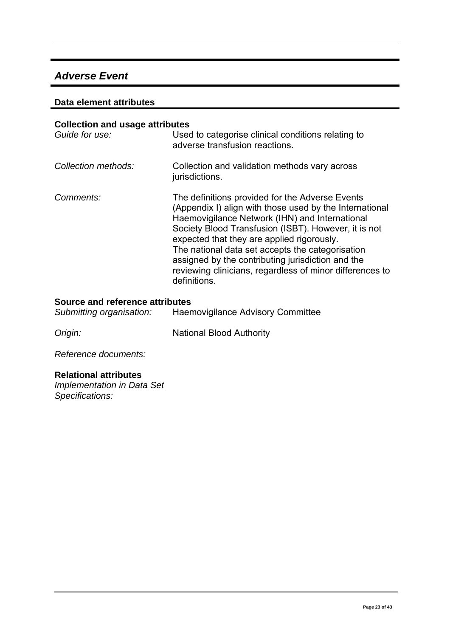### *Adverse Event*

#### **Data element attributes**

| <b>Collection and usage attributes</b> |                                                                                                                                                                                                                                                                                                                                                                                                                                                         |
|----------------------------------------|---------------------------------------------------------------------------------------------------------------------------------------------------------------------------------------------------------------------------------------------------------------------------------------------------------------------------------------------------------------------------------------------------------------------------------------------------------|
| Guide for use:                         | Used to categorise clinical conditions relating to<br>adverse transfusion reactions.                                                                                                                                                                                                                                                                                                                                                                    |
| Collection methods:                    | Collection and validation methods vary across<br>jurisdictions.                                                                                                                                                                                                                                                                                                                                                                                         |
| Comments:                              | The definitions provided for the Adverse Events<br>(Appendix I) align with those used by the International<br>Haemovigilance Network (IHN) and International<br>Society Blood Transfusion (ISBT). However, it is not<br>expected that they are applied rigorously.<br>The national data set accepts the categorisation<br>assigned by the contributing jurisdiction and the<br>reviewing clinicians, regardless of minor differences to<br>definitions. |

#### **Source and reference attributes**

**Origin:** National Blood Authority

*Reference documents:*

#### **Relational attributes**

*Implementation in Data Set Specifications:*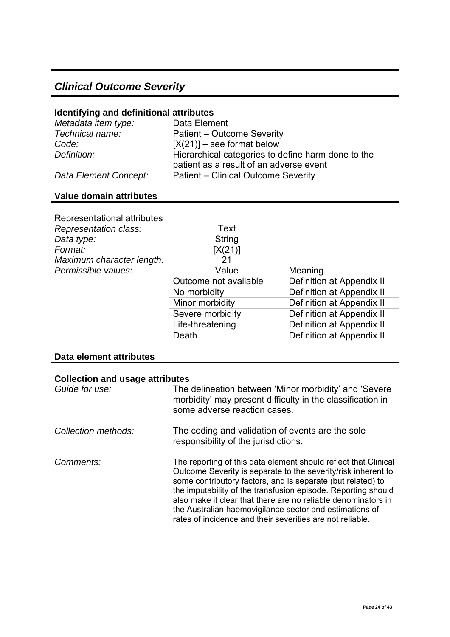# <span id="page-23-0"></span>*Clinical Outcome Severity*

#### **Identifying and definitional attributes**

| Metadata item type:   | Data Element                                                                                  |
|-----------------------|-----------------------------------------------------------------------------------------------|
| Technical name:       | Patient - Outcome Severity                                                                    |
| Code:                 | $[X(21)]$ – see format below                                                                  |
| Definition:           | Hierarchical categories to define harm done to the<br>patient as a result of an adverse event |
| Data Element Concept: | Patient - Clinical Outcome Severity                                                           |

#### **Value domain attributes**

| Representational attributes |                       |                           |
|-----------------------------|-----------------------|---------------------------|
| Representation class:       | Text                  |                           |
| Data type:                  | String                |                           |
| Format:                     | [X(21)]               |                           |
| Maximum character length:   | 21                    |                           |
| Permissible values:         | Value                 | Meaning                   |
|                             | Outcome not available | Definition at Appendix II |
|                             | No morbidity          | Definition at Appendix II |
|                             | Minor morbidity       | Definition at Appendix II |
|                             | Severe morbidity      | Definition at Appendix II |
|                             | Life-threatening      | Definition at Appendix II |
|                             | Death                 | Definition at Appendix II |

#### **Data element attributes**

#### **Collection and usage attributes**

| Guide for use:      | The delineation between 'Minor morbidity' and 'Severe<br>morbidity' may present difficulty in the classification in<br>some adverse reaction cases.                                                                                                                                                                                                                                                                                                       |
|---------------------|-----------------------------------------------------------------------------------------------------------------------------------------------------------------------------------------------------------------------------------------------------------------------------------------------------------------------------------------------------------------------------------------------------------------------------------------------------------|
| Collection methods: | The coding and validation of events are the sole<br>responsibility of the jurisdictions.                                                                                                                                                                                                                                                                                                                                                                  |
| Comments:           | The reporting of this data element should reflect that Clinical<br>Outcome Severity is separate to the severity/risk inherent to<br>some contributory factors, and is separate (but related) to<br>the imputability of the transfusion episode. Reporting should<br>also make it clear that there are no reliable denominators in<br>the Australian haemovigilance sector and estimations of<br>rates of incidence and their severities are not reliable. |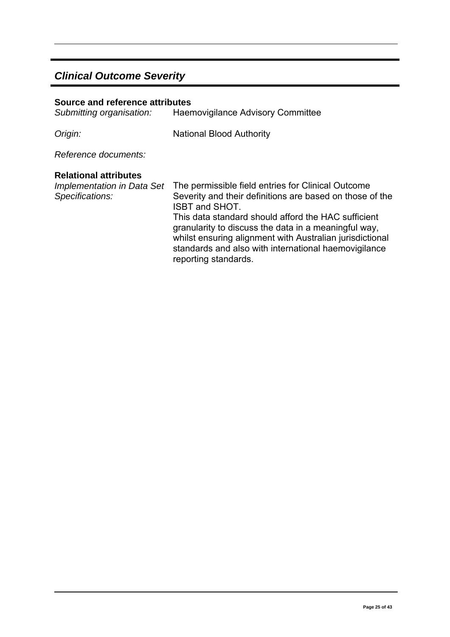# *Clinical Outcome Severity*

| Source and reference attributes<br>Submitting organisation:                   | <b>Haemovigilance Advisory Committee</b>                                                                                                                                                                                                                                                                                                                                                           |
|-------------------------------------------------------------------------------|----------------------------------------------------------------------------------------------------------------------------------------------------------------------------------------------------------------------------------------------------------------------------------------------------------------------------------------------------------------------------------------------------|
| Origin:                                                                       | <b>National Blood Authority</b>                                                                                                                                                                                                                                                                                                                                                                    |
| Reference documents:                                                          |                                                                                                                                                                                                                                                                                                                                                                                                    |
| <b>Relational attributes</b><br>Implementation in Data Set<br>Specifications: | The permissible field entries for Clinical Outcome<br>Severity and their definitions are based on those of the<br><b>ISBT and SHOT.</b><br>This data standard should afford the HAC sufficient<br>granularity to discuss the data in a meaningful way,<br>whilst ensuring alignment with Australian jurisdictional<br>standards and also with international haemovigilance<br>reporting standards. |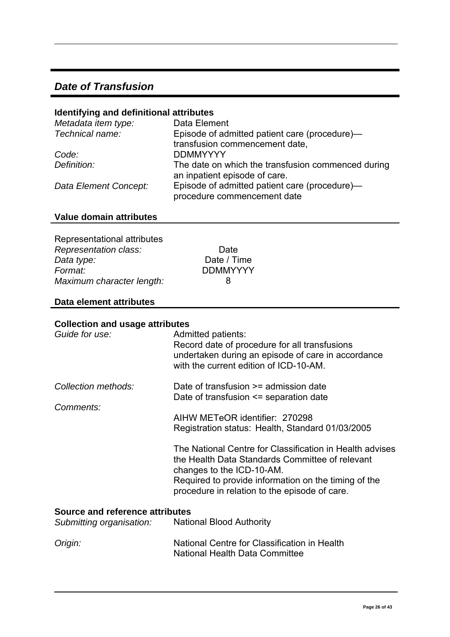### <span id="page-25-0"></span>*Date of Transfusion*

#### **Identifying and definitional attributes**

| Metadata item type:   | Data Element                                                                        |
|-----------------------|-------------------------------------------------------------------------------------|
| Technical name:       | Episode of admitted patient care (procedure)—                                       |
|                       | transfusion commencement date,                                                      |
| Code:                 | <b>DDMMYYYY</b>                                                                     |
| Definition:           | The date on which the transfusion commenced during<br>an inpatient episode of care. |
| Data Element Concept: | Episode of admitted patient care (procedure)-<br>procedure commencement date        |

#### **Value domain attributes**

| Representational attributes |                 |
|-----------------------------|-----------------|
| Representation class:       | Dat             |
| Data type:                  | Date $\sqrt{ }$ |
| Format:                     | <b>DDMM</b>     |
| Maximum character length:   | 8               |

Date Date / Time *Format:* DDMMYYYY

#### **Data element attributes**

#### **Collection and usage attributes**

| Guide for use:                         | Admitted patients:<br>Record date of procedure for all transfusions<br>undertaken during an episode of care in accordance<br>with the current edition of ICD-10-AM.                                                                               |
|----------------------------------------|---------------------------------------------------------------------------------------------------------------------------------------------------------------------------------------------------------------------------------------------------|
| Collection methods:                    | Date of transfusion >= admission date<br>Date of transfusion $\leq$ separation date                                                                                                                                                               |
| Comments:                              | AIHW METeOR identifier: 270298<br>Registration status: Health, Standard 01/03/2005                                                                                                                                                                |
|                                        | The National Centre for Classification in Health advises<br>the Health Data Standards Committee of relevant<br>changes to the ICD-10-AM.<br>Required to provide information on the timing of the<br>procedure in relation to the episode of care. |
| <b>Source and reference attributes</b> |                                                                                                                                                                                                                                                   |
| Submitting organisation:               | National Blood Authority                                                                                                                                                                                                                          |
| Origin:                                | National Centre for Classification in Health<br><b>National Health Data Committee</b>                                                                                                                                                             |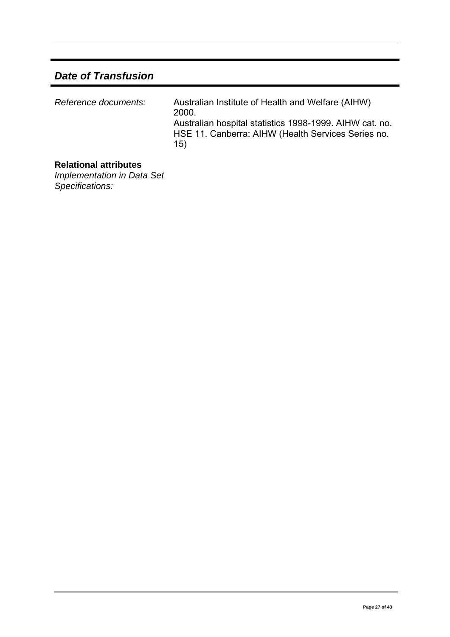# *Date of Transfusion*

| Reference documents: | Australian Institute of Health and Welfare (AIHW)<br>2000<br>Australian hospital statistics 1998-1999. AIHW cat. no.<br>HSE 11. Canberra: AIHW (Health Services Series no.<br>15) |
|----------------------|-----------------------------------------------------------------------------------------------------------------------------------------------------------------------------------|
|----------------------|-----------------------------------------------------------------------------------------------------------------------------------------------------------------------------------|

#### **Relational attributes**

*Implementation in Data Set Specifications:*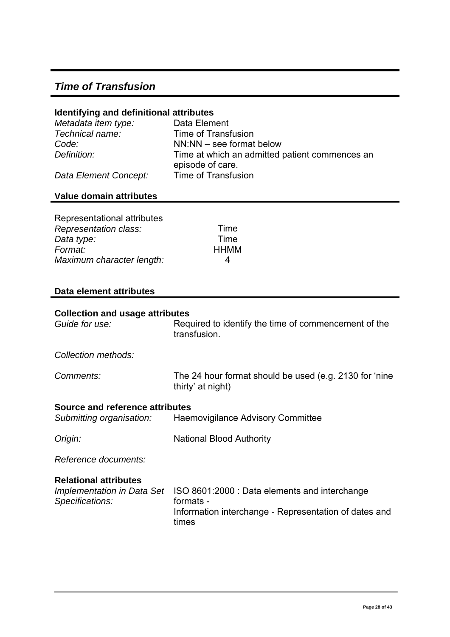# <span id="page-27-0"></span>*Time of Transfusion*

#### **Identifying and definitional attributes**

| Metadata item type:   | Data Element                                                       |
|-----------------------|--------------------------------------------------------------------|
| Technical name:       | Time of Transfusion                                                |
| Code:                 | $NN:NN -$ see format below                                         |
| Definition:           | Time at which an admitted patient commences an<br>episode of care. |
| Data Element Concept: | Time of Transfusion                                                |

### **Value domain attributes**

| Representational attributes |             |
|-----------------------------|-------------|
| Representation class:       | Time        |
| Data type:                  | Time        |
| Format:                     | <b>HHMM</b> |
| Maximum character length:   | 4           |

#### **Data element attributes**

| <b>Collection and usage attributes</b> |                                                                             |
|----------------------------------------|-----------------------------------------------------------------------------|
| Guide for use:                         | Required to identify the time of commencement of the<br>transfusion.        |
| Collection methods:                    |                                                                             |
| Comments:                              | The 24 hour format should be used (e.g. 2130 for 'nine<br>thirty' at night) |
| <b>Source and reference attributes</b> |                                                                             |
| Submitting organisation:               | Haemovigilance Advisory Committee                                           |
| Origin:                                | <b>National Blood Authority</b>                                             |
| Reference documents:                   |                                                                             |
| <b>Relational attributes</b>           |                                                                             |
| Implementation in Data Set             | ISO 8601:2000 : Data elements and interchange                               |
| Specifications:                        | formats -                                                                   |
|                                        | Information interchange - Representation of dates and<br>times              |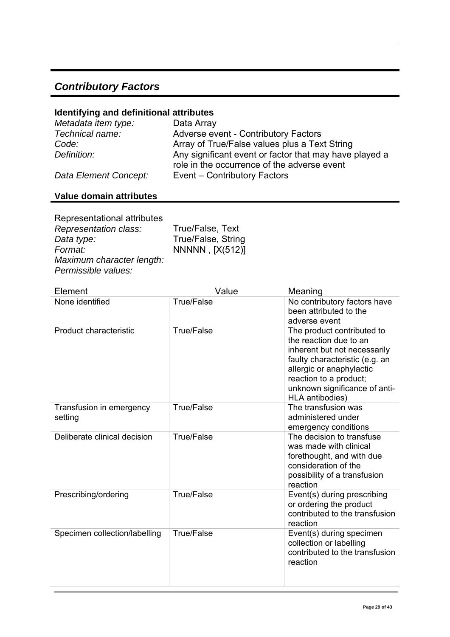# <span id="page-28-0"></span>*Contributory Factors*

# **Identifying and definitional attributes**

| Metadata item type:   | Data Array                                                                                            |
|-----------------------|-------------------------------------------------------------------------------------------------------|
| Technical name:       | Adverse event - Contributory Factors                                                                  |
| Code:                 | Array of True/False values plus a Text String                                                         |
| Definition:           | Any significant event or factor that may have played a<br>role in the occurrence of the adverse event |
| Data Element Concept: | Event – Contributory Factors                                                                          |

# **Value domain attributes**

| Representational attributes |                    |
|-----------------------------|--------------------|
| Representation class:       | True/False, Text   |
| Data type:                  | True/False, String |
| Format:                     | NNNNN, [X(512)]    |
| Maximum character length:   |                    |
| Permissible values:         |                    |

| Element                             | Value             | Meaning                                                                                                                                                                                                                          |
|-------------------------------------|-------------------|----------------------------------------------------------------------------------------------------------------------------------------------------------------------------------------------------------------------------------|
| None identified                     | <b>True/False</b> | No contributory factors have<br>been attributed to the<br>adverse event                                                                                                                                                          |
| Product characteristic              | <b>True/False</b> | The product contributed to<br>the reaction due to an<br>inherent but not necessarily<br>faulty characteristic (e.g. an<br>allergic or anaphylactic<br>reaction to a product;<br>unknown significance of anti-<br>HLA antibodies) |
| Transfusion in emergency<br>setting | <b>True/False</b> | The transfusion was<br>administered under<br>emergency conditions                                                                                                                                                                |
| Deliberate clinical decision        | <b>True/False</b> | The decision to transfuse<br>was made with clinical<br>forethought, and with due<br>consideration of the<br>possibility of a transfusion<br>reaction                                                                             |
| Prescribing/ordering                | <b>True/False</b> | Event(s) during prescribing<br>or ordering the product<br>contributed to the transfusion<br>reaction                                                                                                                             |
| Specimen collection/labelling       | <b>True/False</b> | Event(s) during specimen<br>collection or labelling<br>contributed to the transfusion<br>reaction                                                                                                                                |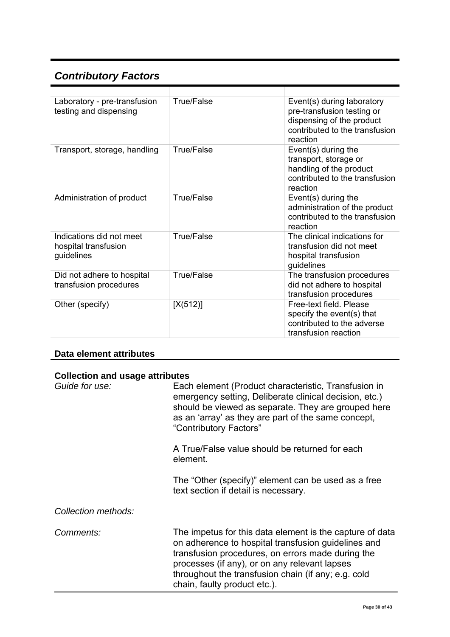# *Contributory Factors*

| Laboratory - pre-transfusion<br>testing and dispensing         | True/False | Event(s) during laboratory<br>pre-transfusion testing or<br>dispensing of the product<br>contributed to the transfusion<br>reaction |
|----------------------------------------------------------------|------------|-------------------------------------------------------------------------------------------------------------------------------------|
| Transport, storage, handling                                   | True/False | Event(s) during the<br>transport, storage or<br>handling of the product<br>contributed to the transfusion<br>reaction               |
| Administration of product                                      | True/False | Event(s) during the<br>administration of the product<br>contributed to the transfusion<br>reaction                                  |
| Indications did not meet<br>hospital transfusion<br>guidelines | True/False | The clinical indications for<br>transfusion did not meet<br>hospital transfusion<br>guidelines                                      |
| Did not adhere to hospital<br>transfusion procedures           | True/False | The transfusion procedures<br>did not adhere to hospital<br>transfusion procedures                                                  |
| Other (specify)                                                | [X(512)]   | Free-text field. Please<br>specify the event(s) that<br>contributed to the adverse<br>transfusion reaction                          |

### **Data element attributes**

#### **Collection and usage attributes**

| Guide for use:      | Each element (Product characteristic, Transfusion in<br>emergency setting, Deliberate clinical decision, etc.)<br>should be viewed as separate. They are grouped here<br>as an 'array' as they are part of the same concept,<br>"Contributory Factors"                                                       |
|---------------------|--------------------------------------------------------------------------------------------------------------------------------------------------------------------------------------------------------------------------------------------------------------------------------------------------------------|
|                     | A True/False value should be returned for each<br>element.                                                                                                                                                                                                                                                   |
|                     | The "Other (specify)" element can be used as a free<br>text section if detail is necessary.                                                                                                                                                                                                                  |
| Collection methods: |                                                                                                                                                                                                                                                                                                              |
| Comments:           | The impetus for this data element is the capture of data<br>on adherence to hospital transfusion guidelines and<br>transfusion procedures, on errors made during the<br>processes (if any), or on any relevant lapses<br>throughout the transfusion chain (if any; e.g. cold<br>chain, faulty product etc.). |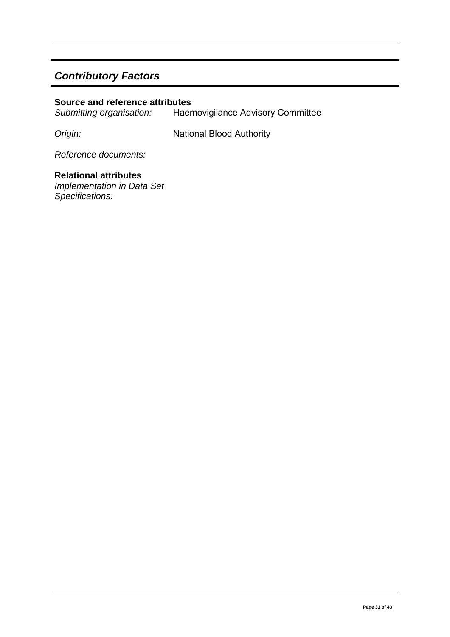# *Contributory Factors*

# **Source and reference attributes**<br>Submitting organisation: Haen

*Submitting organisation:* Haemovigilance Advisory Committee

**Origin:** National Blood Authority

*Reference documents:*

#### **Relational attributes**  *Implementation in Data Set*

*Specifications:*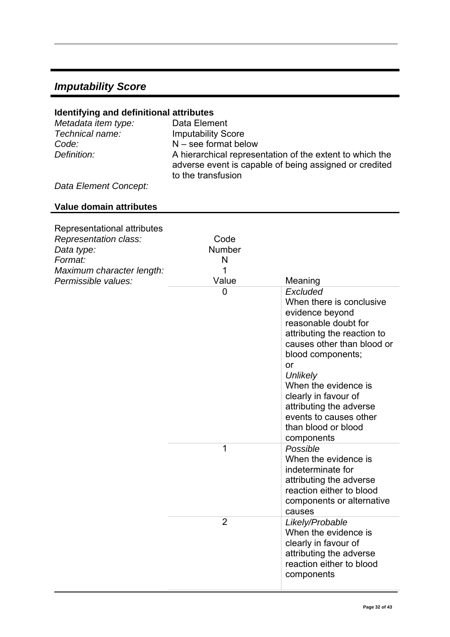# <span id="page-31-0"></span>*Imputability Score*

#### **Identifying and definitional attributes**

| Metadata item type:<br>Technical name: | Data Element<br><b>Imputability Score</b>                                                                                                |
|----------------------------------------|------------------------------------------------------------------------------------------------------------------------------------------|
| Code:                                  | $N$ – see format below                                                                                                                   |
| Definition:                            | A hierarchical representation of the extent to which the<br>adverse event is capable of being assigned or credited<br>to the transfusion |
| - -                                    |                                                                                                                                          |

*Data Element Concept:* 

#### **Value domain attributes**

| Representational attributes<br>Representation class:<br>Data type:<br>Format:<br>Maximum character length: | Code<br>Number<br>N<br>1 |                                                                                                                                                                                                                                                                                                                               |
|------------------------------------------------------------------------------------------------------------|--------------------------|-------------------------------------------------------------------------------------------------------------------------------------------------------------------------------------------------------------------------------------------------------------------------------------------------------------------------------|
| Permissible values:                                                                                        | Value                    | Meaning                                                                                                                                                                                                                                                                                                                       |
|                                                                                                            | $\overline{0}$           | Excluded<br>When there is conclusive<br>evidence beyond<br>reasonable doubt for<br>attributing the reaction to<br>causes other than blood or<br>blood components;<br>or<br>Unlikely<br>When the evidence is<br>clearly in favour of<br>attributing the adverse<br>events to causes other<br>than blood or blood<br>components |
|                                                                                                            | 1                        | Possible<br>When the evidence is<br>indeterminate for<br>attributing the adverse<br>reaction either to blood<br>components or alternative<br>causes                                                                                                                                                                           |
|                                                                                                            | $\overline{2}$           | Likely/Probable<br>When the evidence is<br>clearly in favour of<br>attributing the adverse<br>reaction either to blood<br>components                                                                                                                                                                                          |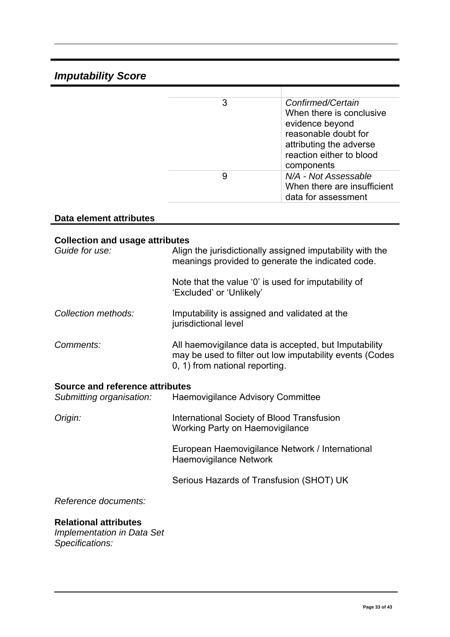# *Imputability Score*

|   | Confirmed/Certain<br>When there is conclusive<br>evidence beyond<br>reasonable doubt for<br>attributing the adverse<br>reaction either to blood<br>components |
|---|---------------------------------------------------------------------------------------------------------------------------------------------------------------|
| 9 | N/A - Not Assessable<br>When there are insufficient<br>data for assessment                                                                                    |

# **Data element attributes**

#### **Collection and usage attributes**

| Guide for use:                                                     | Align the jurisdictionally assigned imputability with the<br>meanings provided to generate the indicated code.                                      |
|--------------------------------------------------------------------|-----------------------------------------------------------------------------------------------------------------------------------------------------|
|                                                                    | Note that the value '0' is used for imputability of<br>'Excluded' or 'Unlikely'                                                                     |
| Collection methods:                                                | Imputability is assigned and validated at the<br>jurisdictional level                                                                               |
| Comments:                                                          | All haemovigilance data is accepted, but Imputability<br>may be used to filter out low imputability events (Codes<br>0, 1) from national reporting. |
| <b>Source and reference attributes</b><br>Submitting organisation: | <b>Haemovigilance Advisory Committee</b>                                                                                                            |
| Origin:                                                            | International Society of Blood Transfusion<br><b>Working Party on Haemovigilance</b>                                                                |
|                                                                    | European Haemovigilance Network / International<br><b>Haemovigilance Network</b>                                                                    |
|                                                                    | Serious Hazards of Transfusion (SHOT) UK                                                                                                            |
| Reference documents:                                               |                                                                                                                                                     |
| <b>Relational attributes</b><br><b>Implementation in Data Set</b>  |                                                                                                                                                     |

*Specifications:*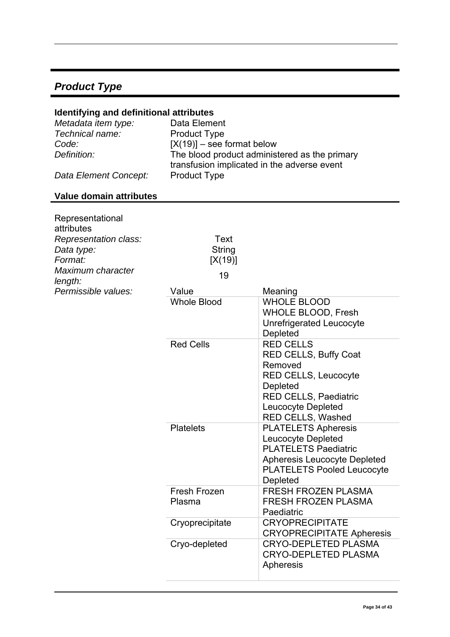# <span id="page-33-0"></span>*Product Type*

#### **Identifying and definitional attributes**

| Data Element                                  |
|-----------------------------------------------|
| <b>Product Type</b>                           |
| $[X(19)]$ – see format below                  |
| The blood product administered as the primary |
| transfusion implicated in the adverse event   |
| <b>Product Type</b>                           |
|                                               |

# **Value domain attributes**

| Representational<br>attributes<br>Representation class:<br>Data type:<br>Format:<br>Maximum character<br>length: | Text<br><b>String</b><br>[X(19)]<br>19 |                                                                                                                                                                            |
|------------------------------------------------------------------------------------------------------------------|----------------------------------------|----------------------------------------------------------------------------------------------------------------------------------------------------------------------------|
| Permissible values:                                                                                              | Value                                  | Meaning                                                                                                                                                                    |
|                                                                                                                  | <b>Whole Blood</b>                     | <b>WHOLE BLOOD</b><br><b>WHOLE BLOOD, Fresh</b><br>Unrefrigerated Leucocyte<br>Depleted                                                                                    |
|                                                                                                                  | <b>Red Cells</b>                       | <b>RED CELLS</b><br><b>RED CELLS, Buffy Coat</b><br>Removed<br><b>RED CELLS, Leucocyte</b><br>Depleted<br>RED CELLS, Paediatric<br>Leucocyte Depleted<br>RED CELLS, Washed |
|                                                                                                                  | <b>Platelets</b>                       | <b>PLATELETS Apheresis</b><br>Leucocyte Depleted<br><b>PLATELETS Paediatric</b><br><b>Apheresis Leucocyte Depleted</b><br><b>PLATELETS Pooled Leucocyte</b><br>Depleted    |
|                                                                                                                  | Fresh Frozen<br>Plasma                 | <b>FRESH FROZEN PLASMA</b><br><b>FRESH FROZEN PLASMA</b><br>Paediatric                                                                                                     |
|                                                                                                                  | Cryoprecipitate                        | <b>CRYOPRECIPITATE</b><br><b>CRYOPRECIPITATE Apheresis</b>                                                                                                                 |
|                                                                                                                  | Cryo-depleted                          | <b>CRYO-DEPLETED PLASMA</b><br><b>CRYO-DEPLETED PLASMA</b><br>Apheresis                                                                                                    |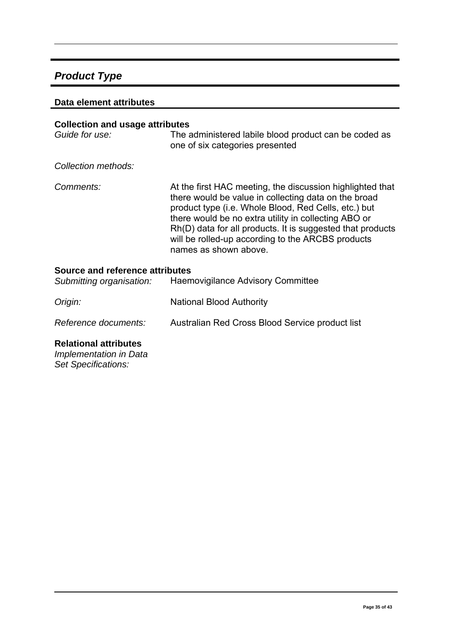# *Product Type*

#### **Data element attributes**

| <b>Collection and usage attributes</b><br>Guide for use:                                         | The administered labile blood product can be coded as<br>one of six categories presented                                                                                                                                                                                                                                                                                      |  |
|--------------------------------------------------------------------------------------------------|-------------------------------------------------------------------------------------------------------------------------------------------------------------------------------------------------------------------------------------------------------------------------------------------------------------------------------------------------------------------------------|--|
| Collection methods:                                                                              |                                                                                                                                                                                                                                                                                                                                                                               |  |
| Comments:                                                                                        | At the first HAC meeting, the discussion highlighted that<br>there would be value in collecting data on the broad<br>product type (i.e. Whole Blood, Red Cells, etc.) but<br>there would be no extra utility in collecting ABO or<br>Rh(D) data for all products. It is suggested that products<br>will be rolled-up according to the ARCBS products<br>names as shown above. |  |
| Source and reference attributes<br>Haemovigilance Advisory Committee<br>Submitting organisation: |                                                                                                                                                                                                                                                                                                                                                                               |  |
| Origin:                                                                                          | National Blood Authority                                                                                                                                                                                                                                                                                                                                                      |  |
| Reference documents:                                                                             | Australian Red Cross Blood Service product list                                                                                                                                                                                                                                                                                                                               |  |

#### **Relational attributes**

*Implementation in Data Set Specifications:*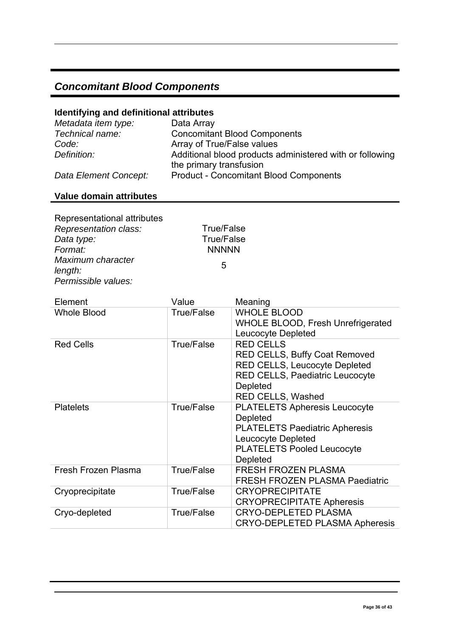# <span id="page-35-0"></span>*Concomitant Blood Components*

#### **Identifying and definitional attributes**

| Metadata item type:   | Data Array                                                                          |
|-----------------------|-------------------------------------------------------------------------------------|
| Technical name:       | <b>Concomitant Blood Components</b>                                                 |
| Code:                 | Array of True/False values                                                          |
| Definition:           | Additional blood products administered with or following<br>the primary transfusion |
| Data Element Concept: | <b>Product - Concomitant Blood Components</b>                                       |

### **Value domain attributes**

Representational attributes *Representation class:* True/False<br>Data type: True/False *Data type: Format:* NNNNN *Maximum character length:* <sup>5</sup> *Permissible values:* 

| Element             | Value             | Meaning                                                                                                                                                              |
|---------------------|-------------------|----------------------------------------------------------------------------------------------------------------------------------------------------------------------|
| <b>Whole Blood</b>  | <b>True/False</b> | <b>WHOLE BLOOD</b><br>WHOLE BLOOD, Fresh Unrefrigerated<br>Leucocyte Depleted                                                                                        |
| <b>Red Cells</b>    | True/False        | <b>RED CELLS</b><br>RED CELLS, Buffy Coat Removed<br>RED CELLS, Leucocyte Depleted<br><b>RED CELLS, Paediatric Leucocyte</b><br>Depleted<br><b>RED CELLS, Washed</b> |
| <b>Platelets</b>    | <b>True/False</b> | <b>PLATELETS Apheresis Leucocyte</b><br>Depleted<br><b>PLATELETS Paediatric Apheresis</b><br>Leucocyte Depleted<br><b>PLATELETS Pooled Leucocyte</b><br>Depleted     |
| Fresh Frozen Plasma | True/False        | <b>FRESH FROZEN PLASMA</b><br><b>FRESH FROZEN PLASMA Paediatric</b>                                                                                                  |
| Cryoprecipitate     | True/False        | <b>CRYOPRECIPITATE</b><br><b>CRYOPRECIPITATE Apheresis</b>                                                                                                           |
| Cryo-depleted       | <b>True/False</b> | <b>CRYO-DEPLETED PLASMA</b><br><b>CRYO-DEPLETED PLASMA Apheresis</b>                                                                                                 |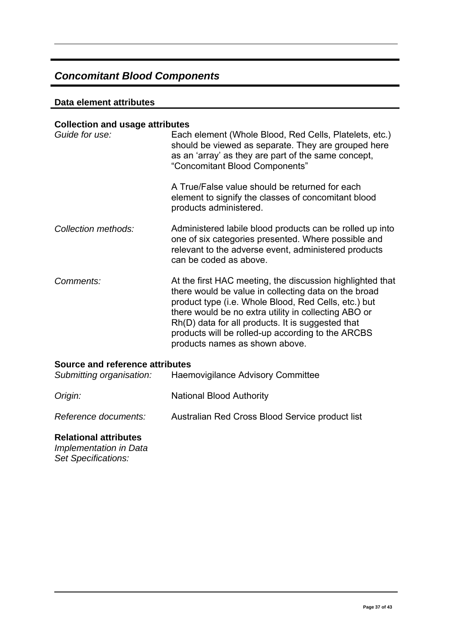# *Concomitant Blood Components*

#### **Data element attributes**

#### **Collection and usage attributes**

| Guide for use:                  | Each element (Whole Blood, Red Cells, Platelets, etc.)<br>should be viewed as separate. They are grouped here<br>as an 'array' as they are part of the same concept,<br>"Concomitant Blood Components"<br>A True/False value should be returned for each<br>element to signify the classes of concomitant blood                                                               |
|---------------------------------|-------------------------------------------------------------------------------------------------------------------------------------------------------------------------------------------------------------------------------------------------------------------------------------------------------------------------------------------------------------------------------|
|                                 | products administered.                                                                                                                                                                                                                                                                                                                                                        |
| Collection methods:             | Administered labile blood products can be rolled up into<br>one of six categories presented. Where possible and<br>relevant to the adverse event, administered products<br>can be coded as above.                                                                                                                                                                             |
| Comments:                       | At the first HAC meeting, the discussion highlighted that<br>there would be value in collecting data on the broad<br>product type (i.e. Whole Blood, Red Cells, etc.) but<br>there would be no extra utility in collecting ABO or<br>Rh(D) data for all products. It is suggested that<br>products will be rolled-up according to the ARCBS<br>products names as shown above. |
| Source and reference attributes |                                                                                                                                                                                                                                                                                                                                                                               |
| Submitting organisation:        | Haemovigilance Advisory Committee                                                                                                                                                                                                                                                                                                                                             |
| Origin:                         | <b>National Blood Authority</b>                                                                                                                                                                                                                                                                                                                                               |

#### *Reference documents:* Australian Red Cross Blood Service product list

#### **Relational attributes**

*Implementation in Data Set Specifications:*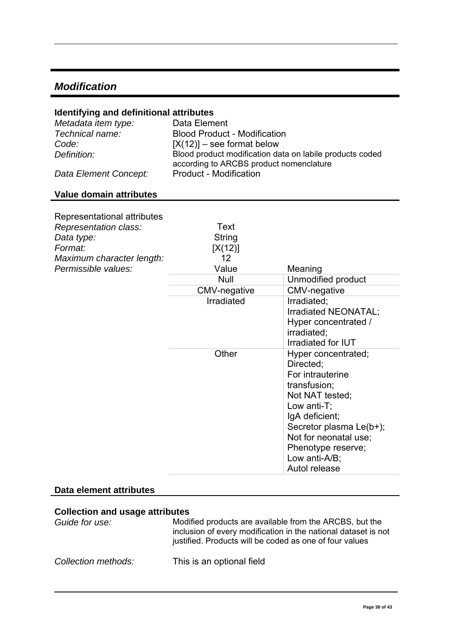### <span id="page-37-0"></span>*Modification*

#### **Identifying and definitional attributes**

| Metadata item type:   | Data Element                                                                                        |
|-----------------------|-----------------------------------------------------------------------------------------------------|
| Technical name:       | <b>Blood Product - Modification</b>                                                                 |
| Code:                 | $[X(12)]$ – see format below                                                                        |
| Definition:           | Blood product modification data on labile products coded<br>according to ARCBS product nomenclature |
| Data Element Concept: | <b>Product - Modification</b>                                                                       |

#### **Value domain attributes**

| Representational attributes<br>Representation class:<br>Data type:<br>Format:<br>Maximum character length: | Text<br>String<br>[X(12)]<br>12 |                                                                                                                                                                                                                                      |
|------------------------------------------------------------------------------------------------------------|---------------------------------|--------------------------------------------------------------------------------------------------------------------------------------------------------------------------------------------------------------------------------------|
| Permissible values:                                                                                        | Value                           | Meaning                                                                                                                                                                                                                              |
|                                                                                                            | <b>Null</b>                     | Unmodified product                                                                                                                                                                                                                   |
|                                                                                                            | CMV-negative                    | CMV-negative                                                                                                                                                                                                                         |
|                                                                                                            | Irradiated                      | Irradiated;<br>Irradiated NEONATAL;<br>Hyper concentrated /<br>irradiated;<br>Irradiated for IUT                                                                                                                                     |
|                                                                                                            | Other                           | Hyper concentrated;<br>Directed;<br>For intrauterine<br>transfusion;<br>Not NAT tested;<br>Low anti-T;<br>IgA deficient;<br>Secretor plasma Le(b+);<br>Not for neonatal use;<br>Phenotype reserve;<br>Low anti-A/B;<br>Autol release |

#### **Data element attributes**

#### **Collection and usage attributes**

| Guide for use:      | Modified products are available from the ARCBS, but the<br>inclusion of every modification in the national dataset is not<br>justified. Products will be coded as one of four values |
|---------------------|--------------------------------------------------------------------------------------------------------------------------------------------------------------------------------------|
| Collection methods: | This is an optional field                                                                                                                                                            |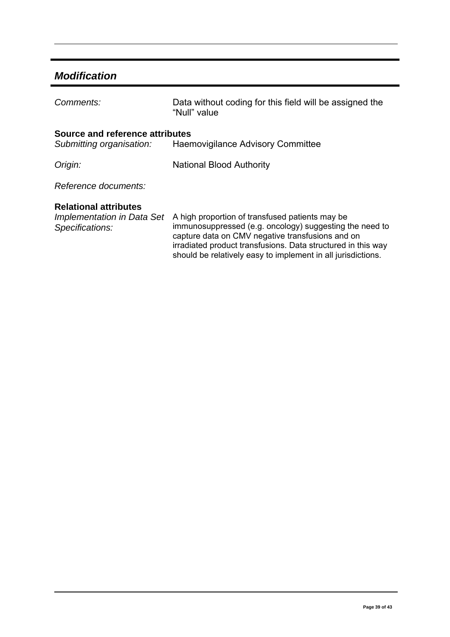# *Modification*

| Comments:                                                                     | Data without coding for this field will be assigned the<br>"Null" value                                                                                                                                                                                                                        |
|-------------------------------------------------------------------------------|------------------------------------------------------------------------------------------------------------------------------------------------------------------------------------------------------------------------------------------------------------------------------------------------|
| Source and reference attributes<br>Submitting organisation:                   | Haemovigilance Advisory Committee                                                                                                                                                                                                                                                              |
| Origin:                                                                       | <b>National Blood Authority</b>                                                                                                                                                                                                                                                                |
| Reference documents:                                                          |                                                                                                                                                                                                                                                                                                |
| <b>Relational attributes</b><br>Implementation in Data Set<br>Specifications: | A high proportion of transfused patients may be<br>immunosuppressed (e.g. oncology) suggesting the need to<br>capture data on CMV negative transfusions and on<br>irradiated product transfusions. Data structured in this way<br>should be relatively easy to implement in all jurisdictions. |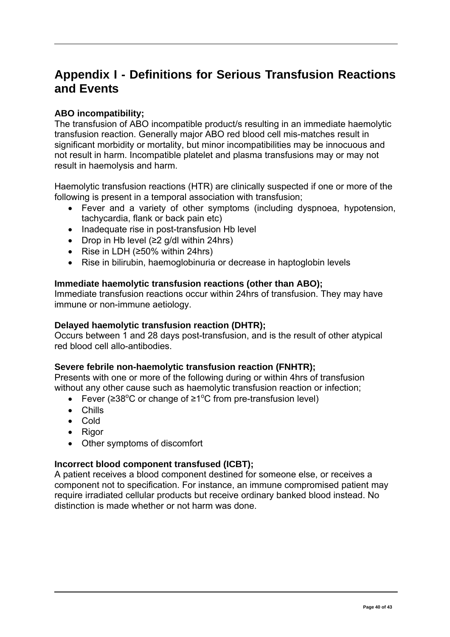# <span id="page-39-0"></span>**Appendix I - Definitions for Serious Transfusion Reactions and Events**

#### **ABO incompatibility;**

The transfusion of ABO incompatible product/s resulting in an immediate haemolytic transfusion reaction. Generally major ABO red blood cell mis-matches result in significant morbidity or mortality, but minor incompatibilities may be innocuous and not result in harm. Incompatible platelet and plasma transfusions may or may not result in haemolysis and harm.

Haemolytic transfusion reactions (HTR) are clinically suspected if one or more of the following is present in a temporal association with transfusion;

- Fever and a variety of other symptoms (including dyspnoea, hypotension, tachycardia, flank or back pain etc)
- Inadequate rise in post-transfusion Hb level
- Drop in Hb level (≥2 g/dl within 24hrs)
- Rise in LDH (≥50% within 24hrs)
- Rise in bilirubin, haemoglobinuria or decrease in haptoglobin levels

#### **Immediate haemolytic transfusion reactions (other than ABO);**

Immediate transfusion reactions occur within 24hrs of transfusion. They may have immune or non-immune aetiology.

#### **Delayed haemolytic transfusion reaction (DHTR);**

Occurs between 1 and 28 days post-transfusion, and is the result of other atypical red blood cell allo-antibodies.

#### **Severe febrile non-haemolytic transfusion reaction (FNHTR);**

Presents with one or more of the following during or within 4hrs of transfusion without any other cause such as haemolytic transfusion reaction or infection:

- Fever ( $\geq 38^{\circ}$ C or change of  $\geq 1^{\circ}$ C from pre-transfusion level)
- Chills
- Cold
- Rigor
- Other symptoms of discomfort

#### **Incorrect blood component transfused (ICBT);**

A patient receives a blood component destined for someone else, or receives a component not to specification. For instance, an immune compromised patient may require irradiated cellular products but receive ordinary banked blood instead. No distinction is made whether or not harm was done.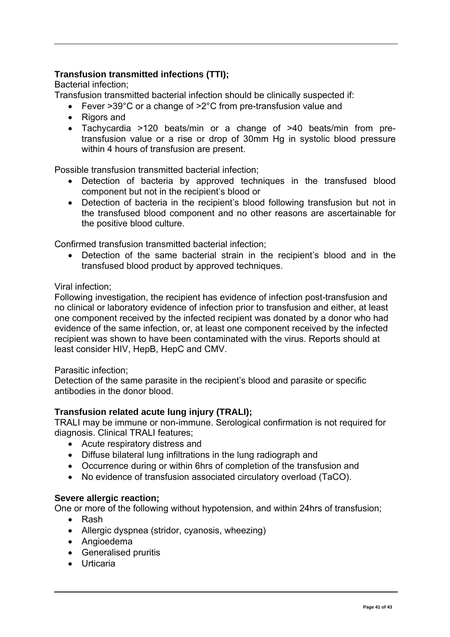#### **Transfusion transmitted infections (TTI);**

Bacterial infection;

Transfusion transmitted bacterial infection should be clinically suspected if:

- Fever >39°C or a change of >2°C from pre-transfusion value and
- Rigors and
- Tachycardia >120 beats/min or a change of >40 beats/min from pretransfusion value or a rise or drop of 30mm Hg in systolic blood pressure within 4 hours of transfusion are present.

Possible transfusion transmitted bacterial infection;

- Detection of bacteria by approved techniques in the transfused blood component but not in the recipient's blood or
- Detection of bacteria in the recipient's blood following transfusion but not in the transfused blood component and no other reasons are ascertainable for the positive blood culture.

Confirmed transfusion transmitted bacterial infection;

• Detection of the same bacterial strain in the recipient's blood and in the transfused blood product by approved techniques.

#### Viral infection;

Following investigation, the recipient has evidence of infection post-transfusion and no clinical or laboratory evidence of infection prior to transfusion and either, at least one component received by the infected recipient was donated by a donor who had evidence of the same infection, or, at least one component received by the infected recipient was shown to have been contaminated with the virus. Reports should at least consider HIV, HepB, HepC and CMV.

#### Parasitic infection;

Detection of the same parasite in the recipient's blood and parasite or specific antibodies in the donor blood.

#### **Transfusion related acute lung injury (TRALI);**

TRALI may be immune or non-immune. Serological confirmation is not required for diagnosis. Clinical TRALI features;

- Acute respiratory distress and
- Diffuse bilateral lung infiltrations in the lung radiograph and
- Occurrence during or within 6hrs of completion of the transfusion and
- No evidence of transfusion associated circulatory overload (TaCO).

#### **Severe allergic reaction;**

One or more of the following without hypotension, and within 24hrs of transfusion;

- Rash
- Allergic dyspnea (stridor, cyanosis, wheezing)
- Angioedema
- Generalised pruritis
- Urticaria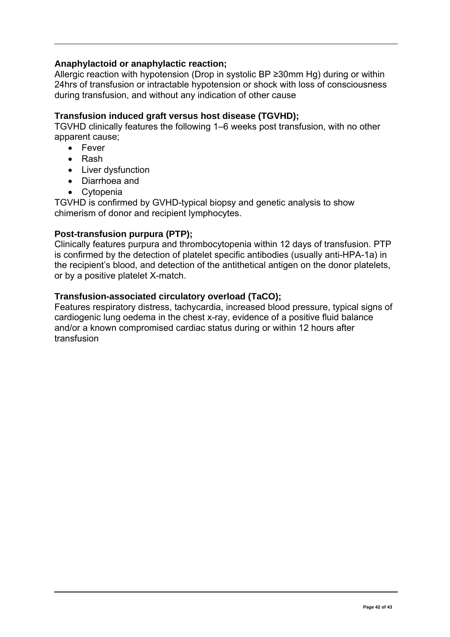#### **Anaphylactoid or anaphylactic reaction;**

Allergic reaction with hypotension (Drop in systolic BP ≥30mm Hg) during or within 24hrs of transfusion or intractable hypotension or shock with loss of consciousness during transfusion, and without any indication of other cause

#### **Transfusion induced graft versus host disease (TGVHD);**

TGVHD clinically features the following 1–6 weeks post transfusion, with no other apparent cause;

- Fever
- Rash
- Liver dysfunction
- Diarrhoea and
- Cytopenia

TGVHD is confirmed by GVHD-typical biopsy and genetic analysis to show chimerism of donor and recipient lymphocytes.

#### **Post-transfusion purpura (PTP);**

Clinically features purpura and thrombocytopenia within 12 days of transfusion. PTP is confirmed by the detection of platelet specific antibodies (usually anti-HPA-1a) in the recipient's blood, and detection of the antithetical antigen on the donor platelets, or by a positive platelet X-match.

#### **Transfusion-associated circulatory overload (TaCO);**

Features respiratory distress, tachycardia, increased blood pressure, typical signs of cardiogenic lung oedema in the chest x-ray, evidence of a positive fluid balance and/or a known compromised cardiac status during or within 12 hours after transfusion